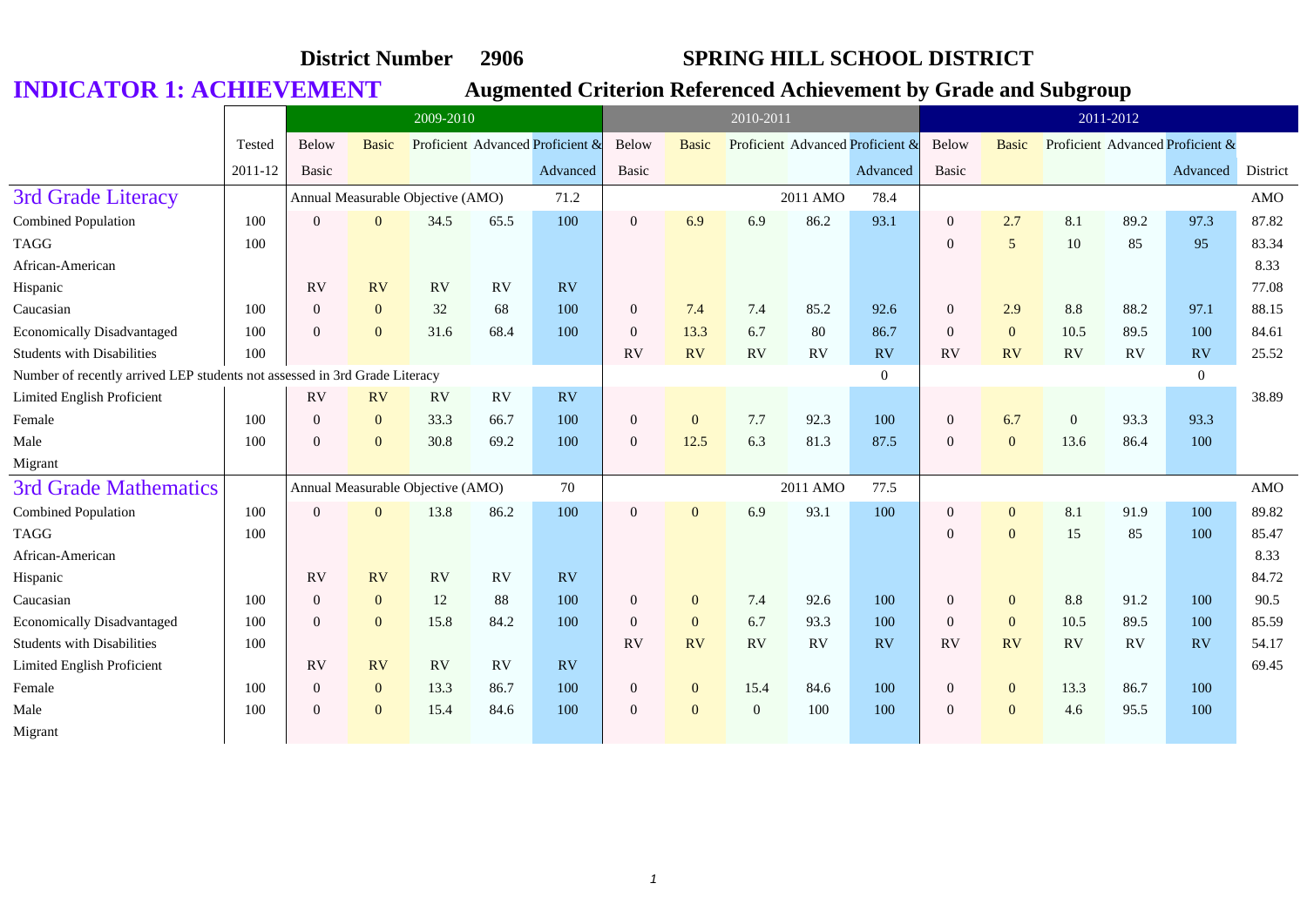|                                                                            |         |                  | 2009-2010      |                                   |           |                                  |                  |                | 2010-2011      |          |                                  |                |                 |                | 2011-2012 |                                  |            |
|----------------------------------------------------------------------------|---------|------------------|----------------|-----------------------------------|-----------|----------------------------------|------------------|----------------|----------------|----------|----------------------------------|----------------|-----------------|----------------|-----------|----------------------------------|------------|
|                                                                            | Tested  | Below            | <b>Basic</b>   |                                   |           | Proficient Advanced Proficient & | <b>Below</b>     | <b>Basic</b>   |                |          | Proficient Advanced Proficient & | Below          | <b>Basic</b>    |                |           | Proficient Advanced Proficient & |            |
|                                                                            | 2011-12 | Basic            |                |                                   |           | Advanced                         | Basic            |                |                |          | Advanced                         | Basic          |                 |                |           | Advanced                         | District   |
| 3rd Grade Literacy                                                         |         |                  |                | Annual Measurable Objective (AMO) |           | 71.2                             |                  |                |                | 2011 AMO | 78.4                             |                |                 |                |           |                                  | AMO        |
| Combined Population                                                        | 100     | $\Omega$         | $\Omega$       | 34.5                              | 65.5      | 100                              | $\mathbf{0}$     | 6.9            | 6.9            | 86.2     | 93.1                             | $\overline{0}$ | 2.7             | 8.1            | 89.2      | 97.3                             | 87.82      |
| <b>TAGG</b>                                                                | 100     |                  |                |                                   |           |                                  |                  |                |                |          |                                  | $\overline{0}$ | $5\overline{)}$ | 10             | 85        | 95                               | 83.34      |
| African-American                                                           |         |                  |                |                                   |           |                                  |                  |                |                |          |                                  |                |                 |                |           |                                  | 8.33       |
| Hispanic                                                                   |         | RV               | <b>RV</b>      | <b>RV</b>                         | <b>RV</b> | <b>RV</b>                        |                  |                |                |          |                                  |                |                 |                |           |                                  | 77.08      |
| Caucasian                                                                  | 100     | $\boldsymbol{0}$ | $\mathbf{0}$   | 32                                | 68        | 100                              | $\boldsymbol{0}$ | 7.4            | 7.4            | 85.2     | 92.6                             | $\mathbf{0}$   | 2.9             | 8.8            | 88.2      | 97.1                             | 88.15      |
| <b>Economically Disadvantaged</b>                                          | 100     | $\Omega$         | $\Omega$       | 31.6                              | 68.4      | 100                              | $\mathbf{0}$     | 13.3           | 6.7            | 80       | 86.7                             | $\overline{0}$ | $\overline{0}$  | 10.5           | 89.5      | 100                              | 84.61      |
| <b>Students with Disabilities</b>                                          | 100     |                  |                |                                   |           |                                  | RV               | <b>RV</b>      | <b>RV</b>      | RV       | <b>RV</b>                        | <b>RV</b>      | <b>RV</b>       | <b>RV</b>      | RV        | RV                               | 25.52      |
| Number of recently arrived LEP students not assessed in 3rd Grade Literacy |         |                  |                |                                   |           |                                  |                  |                |                |          | $\theta$                         |                |                 |                |           | $\overline{0}$                   |            |
| Limited English Proficient                                                 |         | RV               | <b>RV</b>      | RV                                | RV        | <b>RV</b>                        |                  |                |                |          |                                  |                |                 |                |           |                                  | 38.89      |
| Female                                                                     | 100     | $\Omega$         | $\overline{0}$ | 33.3                              | 66.7      | 100                              | $\mathbf{0}$     | $\overline{0}$ | 7.7            | 92.3     | 100                              | $\overline{0}$ | 6.7             | $\overline{0}$ | 93.3      | 93.3                             |            |
| Male                                                                       | 100     | $\Omega$         | $\overline{0}$ | 30.8                              | 69.2      | 100                              | $\overline{0}$   | 12.5           | 6.3            | 81.3     | 87.5                             | $\overline{0}$ | $\mathbf{0}$    | 13.6           | 86.4      | 100                              |            |
| Migrant                                                                    |         |                  |                |                                   |           |                                  |                  |                |                |          |                                  |                |                 |                |           |                                  |            |
| <b>3rd Grade Mathematics</b>                                               |         |                  |                | Annual Measurable Objective (AMO) |           | 70                               |                  |                |                | 2011 AMO | 77.5                             |                |                 |                |           |                                  | <b>AMO</b> |
| Combined Population                                                        | 100     | $\Omega$         | $\overline{0}$ | 13.8                              | 86.2      | 100                              | $\overline{0}$   | $\theta$       | 6.9            | 93.1     | 100                              | $\overline{0}$ | $\mathbf{0}$    | 8.1            | 91.9      | 100                              | 89.82      |
| <b>TAGG</b>                                                                | 100     |                  |                |                                   |           |                                  |                  |                |                |          |                                  | $\overline{0}$ | $\mathbf{0}$    | 15             | 85        | 100                              | 85.47      |
| African-American                                                           |         |                  |                |                                   |           |                                  |                  |                |                |          |                                  |                |                 |                |           |                                  | 8.33       |
| Hispanic                                                                   |         | RV               | <b>RV</b>      | <b>RV</b>                         | <b>RV</b> | RV                               |                  |                |                |          |                                  |                |                 |                |           |                                  | 84.72      |
| Caucasian                                                                  | 100     | $\overline{0}$   | $\overline{0}$ | 12                                | 88        | 100                              | $\boldsymbol{0}$ | $\overline{0}$ | 7.4            | 92.6     | 100                              | $\mathbf{0}$   | $\mathbf{0}$    | 8.8            | 91.2      | 100                              | 90.5       |
| <b>Economically Disadvantaged</b>                                          | 100     | $\Omega$         | $\overline{0}$ | 15.8                              | 84.2      | 100                              | $\overline{0}$   | $\overline{0}$ | 6.7            | 93.3     | 100                              | $\overline{0}$ | $\mathbf{0}$    | 10.5           | 89.5      | 100                              | 85.59      |
| <b>Students with Disabilities</b>                                          | 100     |                  |                |                                   |           |                                  | RV               | RV             | RV             | RV       | RV                               | RV             | RV              | RV             | RV        | RV                               | 54.17      |
| Limited English Proficient                                                 |         | RV               | <b>RV</b>      | RV                                | <b>RV</b> | <b>RV</b>                        |                  |                |                |          |                                  |                |                 |                |           |                                  | 69.45      |
| Female                                                                     | 100     | $\theta$         | $\overline{0}$ | 13.3                              | 86.7      | 100                              | $\boldsymbol{0}$ | $\overline{0}$ | 15.4           | 84.6     | 100                              | $\overline{0}$ | $\mathbf{0}$    | 13.3           | 86.7      | 100                              |            |
| Male                                                                       | 100     | $\Omega$         | $\overline{0}$ | 15.4                              | 84.6      | 100                              | $\mathbf{0}$     | $\overline{0}$ | $\overline{0}$ | 100      | 100                              | $\Omega$       | $\overline{0}$  | 4.6            | 95.5      | 100                              |            |
| Migrant                                                                    |         |                  |                |                                   |           |                                  |                  |                |                |          |                                  |                |                 |                |           |                                  |            |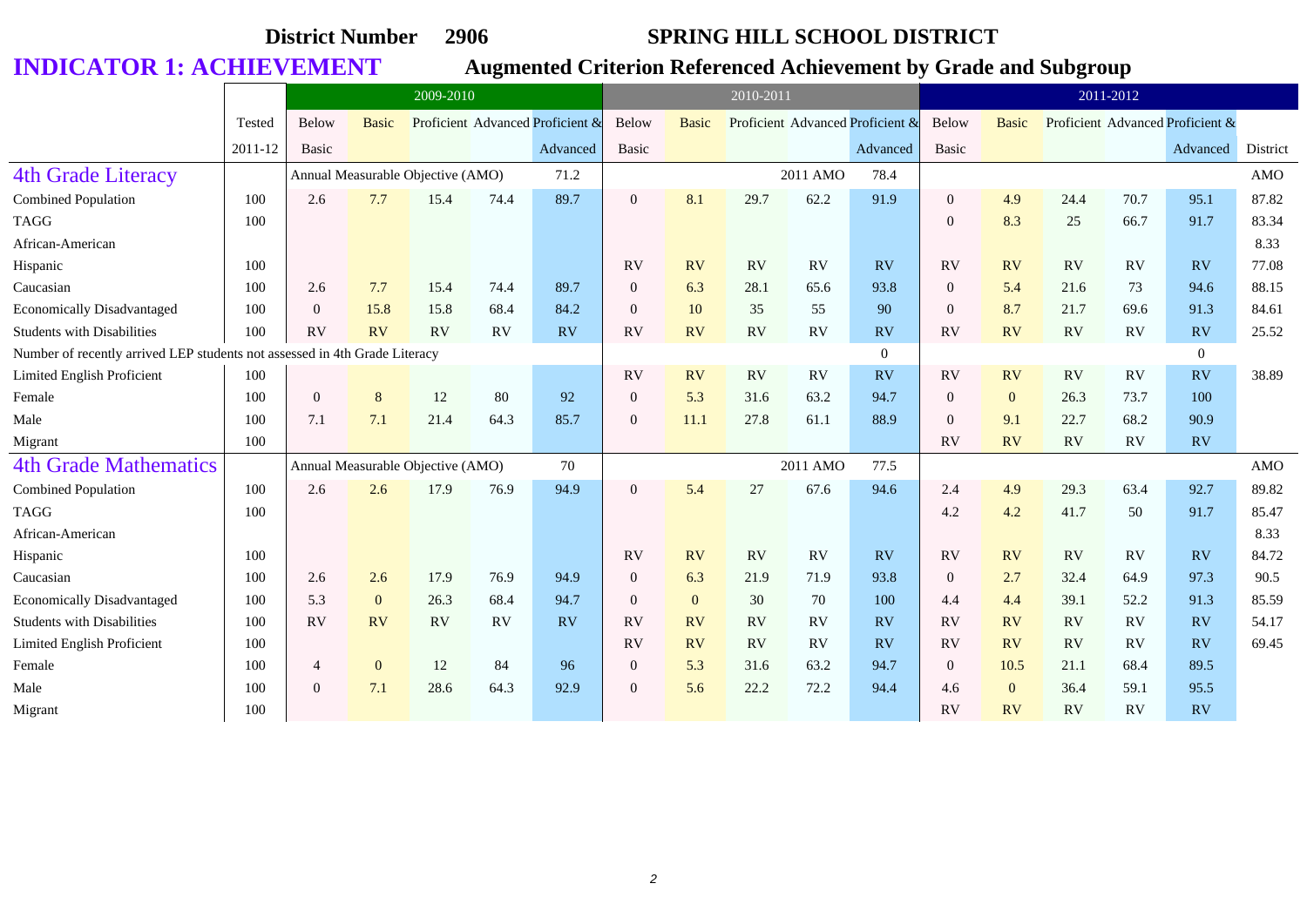|                                                                            |         | 2009-2010      |              |                                   |      |                                  | 2010-2011      |                |           |          |                                  |                | 2011-2012      |           |           |                                  |            |
|----------------------------------------------------------------------------|---------|----------------|--------------|-----------------------------------|------|----------------------------------|----------------|----------------|-----------|----------|----------------------------------|----------------|----------------|-----------|-----------|----------------------------------|------------|
|                                                                            | Tested  | Below          | <b>Basic</b> |                                   |      | Proficient Advanced Proficient & | Below          | <b>Basic</b>   |           |          | Proficient Advanced Proficient & | Below          | Basic          |           |           | Proficient Advanced Proficient & |            |
|                                                                            | 2011-12 | Basic          |              |                                   |      | Advanced                         | <b>Basic</b>   |                |           |          | Advanced                         | Basic          |                |           |           | Advanced                         | District   |
| <b>4th Grade Literacy</b>                                                  |         |                |              | Annual Measurable Objective (AMO) |      | 71.2                             |                |                |           | 2011 AMO | 78.4                             |                |                |           |           |                                  | <b>AMO</b> |
| <b>Combined Population</b>                                                 | 100     | 2.6            | 7.7          | 15.4                              | 74.4 | 89.7                             | $\mathbf{0}$   | 8.1            | 29.7      | 62.2     | 91.9                             | $\theta$       | 4.9            | 24.4      | 70.7      | 95.1                             | 87.82      |
| <b>TAGG</b>                                                                | 100     |                |              |                                   |      |                                  |                |                |           |          |                                  | $\overline{0}$ | 8.3            | 25        | 66.7      | 91.7                             | 83.34      |
| African-American                                                           |         |                |              |                                   |      |                                  |                |                |           |          |                                  |                |                |           |           |                                  | 8.33       |
| Hispanic                                                                   | 100     |                |              |                                   |      |                                  | RV             | RV             | <b>RV</b> | RV       | <b>RV</b>                        | RV             | RV             | RV        | RV        | RV                               | 77.08      |
| Caucasian                                                                  | 100     | 2.6            | 7.7          | 15.4                              | 74.4 | 89.7                             | $\overline{0}$ | 6.3            | 28.1      | 65.6     | 93.8                             | $\overline{0}$ | 5.4            | 21.6      | 73        | 94.6                             | 88.15      |
| <b>Economically Disadvantaged</b>                                          | 100     | $\overline{0}$ | 15.8         | 15.8                              | 68.4 | 84.2                             | $\overline{0}$ | 10             | 35        | 55       | 90                               | $\Omega$       | 8.7            | 21.7      | 69.6      | 91.3                             | 84.61      |
| <b>Students with Disabilities</b>                                          | 100     | RV             | <b>RV</b>    | RV                                | RV   | RV                               | <b>RV</b>      | RV             | <b>RV</b> | RV       | <b>RV</b>                        | <b>RV</b>      | RV             | <b>RV</b> | RV        | <b>RV</b>                        | 25.52      |
| Number of recently arrived LEP students not assessed in 4th Grade Literacy |         |                |              |                                   |      |                                  |                |                |           |          | $\Omega$                         |                |                |           |           | $\Omega$                         |            |
| Limited English Proficient                                                 | 100     |                |              |                                   |      |                                  | <b>RV</b>      | RV             | <b>RV</b> | RV       | <b>RV</b>                        | <b>RV</b>      | RV             | <b>RV</b> | RV        | RV                               | 38.89      |
| Female                                                                     | 100     | $\overline{0}$ | 8            | 12                                | 80   | 92                               | $\overline{0}$ | 5.3            | 31.6      | 63.2     | 94.7                             | $\Omega$       | $\overline{0}$ | 26.3      | 73.7      | 100                              |            |
| Male                                                                       | 100     | 7.1            | 7.1          | 21.4                              | 64.3 | 85.7                             | $\overline{0}$ | 11.1           | 27.8      | 61.1     | 88.9                             | $\Omega$       | 9.1            | 22.7      | 68.2      | 90.9                             |            |
| Migrant                                                                    | 100     |                |              |                                   |      |                                  |                |                |           |          |                                  | <b>RV</b>      | <b>RV</b>      | <b>RV</b> | RV        | RV                               |            |
| <b>4th Grade Mathematics</b>                                               |         |                |              | Annual Measurable Objective (AMO) |      | 70                               |                |                |           | 2011 AMO | 77.5                             |                |                |           |           |                                  | <b>AMO</b> |
| Combined Population                                                        | 100     | 2.6            | 2.6          | 17.9                              | 76.9 | 94.9                             | $\mathbf{0}$   | 5.4            | 27        | 67.6     | 94.6                             | 2.4            | 4.9            | 29.3      | 63.4      | 92.7                             | 89.82      |
| <b>TAGG</b>                                                                | 100     |                |              |                                   |      |                                  |                |                |           |          |                                  | 4.2            | 4.2            | 41.7      | 50        | 91.7                             | 85.47      |
| African-American                                                           |         |                |              |                                   |      |                                  |                |                |           |          |                                  |                |                |           |           |                                  | 8.33       |
| Hispanic                                                                   | 100     |                |              |                                   |      |                                  | <b>RV</b>      | RV             | <b>RV</b> | RV       | RV                               | RV             | RV             | RV        | <b>RV</b> | RV                               | 84.72      |
| Caucasian                                                                  | 100     | 2.6            | 2.6          | 17.9                              | 76.9 | 94.9                             | $\overline{0}$ | 6.3            | 21.9      | 71.9     | 93.8                             | $\mathbf{0}$   | 2.7            | 32.4      | 64.9      | 97.3                             | 90.5       |
| <b>Economically Disadvantaged</b>                                          | 100     | 5.3            | $\mathbf{0}$ | 26.3                              | 68.4 | 94.7                             | $\overline{0}$ | $\overline{0}$ | 30        | 70       | 100                              | 4.4            | 4.4            | 39.1      | 52.2      | 91.3                             | 85.59      |
| <b>Students with Disabilities</b>                                          | 100     | RV             | <b>RV</b>    | RV                                | RV   | RV                               | RV             | RV             | RV        | RV       | <b>RV</b>                        | RV             | <b>RV</b>      | <b>RV</b> | RV        | <b>RV</b>                        | 54.17      |
| Limited English Proficient                                                 | 100     |                |              |                                   |      |                                  | <b>RV</b>      | RV             | RV        | RV       | <b>RV</b>                        | RV             | <b>RV</b>      | <b>RV</b> | RV        | <b>RV</b>                        | 69.45      |
| Female                                                                     | 100     | $\overline{4}$ | $\mathbf{0}$ | 12                                | 84   | 96                               | $\mathbf{0}$   | 5.3            | 31.6      | 63.2     | 94.7                             | $\overline{0}$ | 10.5           | 21.1      | 68.4      | 89.5                             |            |
| Male                                                                       | 100     | $\Omega$       | 7.1          | 28.6                              | 64.3 | 92.9                             | $\overline{0}$ | 5.6            | 22.2      | 72.2     | 94.4                             | 4.6            | $\overline{0}$ | 36.4      | 59.1      | 95.5                             |            |
| Migrant                                                                    | 100     |                |              |                                   |      |                                  |                |                |           |          |                                  | RV             | <b>RV</b>      | <b>RV</b> | <b>RV</b> | <b>RV</b>                        |            |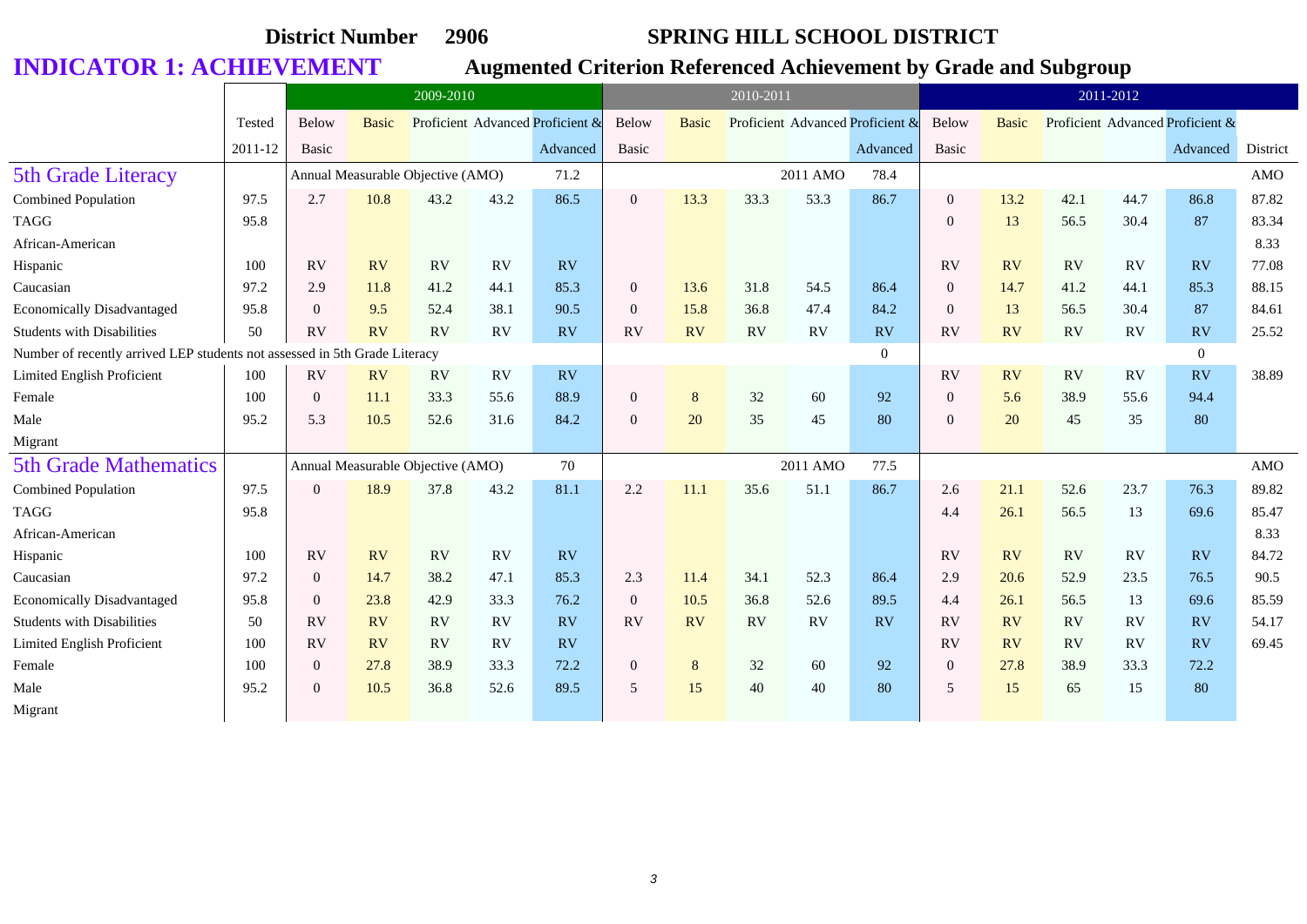|                                                                            |         |                | 2009-2010    |                                   |           |                                  |                  | 2010-2011    |      |          |                                  |                |              | 2011-2012 |           |                                  |            |
|----------------------------------------------------------------------------|---------|----------------|--------------|-----------------------------------|-----------|----------------------------------|------------------|--------------|------|----------|----------------------------------|----------------|--------------|-----------|-----------|----------------------------------|------------|
|                                                                            | Tested  | Below          | <b>Basic</b> |                                   |           | Proficient Advanced Proficient & | Below            | <b>Basic</b> |      |          | Proficient Advanced Proficient & | <b>Below</b>   | <b>Basic</b> |           |           | Proficient Advanced Proficient & |            |
|                                                                            | 2011-12 | Basic          |              |                                   |           | Advanced                         | <b>Basic</b>     |              |      |          | Advanced                         | Basic          |              |           |           | Advanced                         | District   |
| <b>5th Grade Literacy</b>                                                  |         |                |              | Annual Measurable Objective (AMO) |           | 71.2                             |                  |              |      | 2011 AMO | 78.4                             |                |              |           |           |                                  | <b>AMO</b> |
| <b>Combined Population</b>                                                 | 97.5    | 2.7            | 10.8         | 43.2                              | 43.2      | 86.5                             | $\overline{0}$   | 13.3         | 33.3 | 53.3     | 86.7                             | $\overline{0}$ | 13.2         | 42.1      | 44.7      | 86.8                             | 87.82      |
| <b>TAGG</b>                                                                | 95.8    |                |              |                                   |           |                                  |                  |              |      |          |                                  | $\mathbf{0}$   | 13           | 56.5      | 30.4      | 87                               | 83.34      |
| African-American                                                           |         |                |              |                                   |           |                                  |                  |              |      |          |                                  |                |              |           |           |                                  | 8.33       |
| Hispanic                                                                   | 100     | RV             | RV           | RV                                | RV        | <b>RV</b>                        |                  |              |      |          |                                  | <b>RV</b>      | <b>RV</b>    | RV        | <b>RV</b> | RV                               | 77.08      |
| Caucasian                                                                  | 97.2    | 2.9            | 11.8         | 41.2                              | 44.1      | 85.3                             | $\overline{0}$   | 13.6         | 31.8 | 54.5     | 86.4                             | $\overline{0}$ | 14.7         | 41.2      | 44.1      | 85.3                             | 88.15      |
| <b>Economically Disadvantaged</b>                                          | 95.8    | $\overline{0}$ | 9.5          | 52.4                              | 38.1      | 90.5                             | $\overline{0}$   | 15.8         | 36.8 | 47.4     | 84.2                             | $\overline{0}$ | 13           | 56.5      | 30.4      | 87                               | 84.61      |
| <b>Students with Disabilities</b>                                          | 50      | RV             | RV           | RV                                | RV        | <b>RV</b>                        | <b>RV</b>        | RV           | RV   | RV       | RV                               | <b>RV</b>      | RV           | RV        | RV        | RV                               | 25.52      |
| Number of recently arrived LEP students not assessed in 5th Grade Literacy |         |                |              |                                   |           |                                  |                  |              |      |          | $\Omega$                         |                |              |           |           | $\overline{0}$                   |            |
| Limited English Proficient                                                 | 100     | RV             | <b>RV</b>    | RV                                | RV        | <b>RV</b>                        |                  |              |      |          |                                  | RV             | RV           | RV        | <b>RV</b> | RV                               | 38.89      |
| Female                                                                     | 100     | $\overline{0}$ | 11.1         | 33.3                              | 55.6      | 88.9                             | $\boldsymbol{0}$ | 8            | 32   | 60       | 92                               | $\mathbf{0}$   | 5.6          | 38.9      | 55.6      | 94.4                             |            |
| Male                                                                       | 95.2    | 5.3            | 10.5         | 52.6                              | 31.6      | 84.2                             | $\mathbf{0}$     | 20           | 35   | 45       | 80                               | $\overline{0}$ | 20           | 45        | 35        | 80                               |            |
| Migrant                                                                    |         |                |              |                                   |           |                                  |                  |              |      |          |                                  |                |              |           |           |                                  |            |
| <b>5th Grade Mathematics</b>                                               |         |                |              | Annual Measurable Objective (AMO) |           | 70                               |                  |              |      | 2011 AMO | 77.5                             |                |              |           |           |                                  | <b>AMO</b> |
| <b>Combined Population</b>                                                 | 97.5    | $\overline{0}$ | 18.9         | 37.8                              | 43.2      | 81.1                             | 2.2              | 11.1         | 35.6 | 51.1     | 86.7                             | 2.6            | 21.1         | 52.6      | 23.7      | 76.3                             | 89.82      |
| <b>TAGG</b>                                                                | 95.8    |                |              |                                   |           |                                  |                  |              |      |          |                                  | 4.4            | 26.1         | 56.5      | 13        | 69.6                             | 85.47      |
| African-American                                                           |         |                |              |                                   |           |                                  |                  |              |      |          |                                  |                |              |           |           |                                  | 8.33       |
| Hispanic                                                                   | 100     | RV             | <b>RV</b>    | RV                                | RV        | RV                               |                  |              |      |          |                                  | RV             | <b>RV</b>    | RV        | RV        | RV                               | 84.72      |
| Caucasian                                                                  | 97.2    | $\overline{0}$ | 14.7         | 38.2                              | 47.1      | 85.3                             | 2.3              | 11.4         | 34.1 | 52.3     | 86.4                             | 2.9            | 20.6         | 52.9      | 23.5      | 76.5                             | 90.5       |
| <b>Economically Disadvantaged</b>                                          | 95.8    | $\overline{0}$ | 23.8         | 42.9                              | 33.3      | 76.2                             | $\overline{0}$   | 10.5         | 36.8 | 52.6     | 89.5                             | 4.4            | 26.1         | 56.5      | 13        | 69.6                             | 85.59      |
| <b>Students with Disabilities</b>                                          | 50      | RV             | RV           | RV                                | RV        | RV                               | <b>RV</b>        | RV           | RV   | RV       | RV                               | RV             | RV           | RV        | RV        | RV                               | 54.17      |
| Limited English Proficient                                                 | 100     | <b>RV</b>      | <b>RV</b>    | <b>RV</b>                         | <b>RV</b> | <b>RV</b>                        |                  |              |      |          |                                  | <b>RV</b>      | <b>RV</b>    | <b>RV</b> | <b>RV</b> | RV                               | 69.45      |
| Female                                                                     | 100     | $\overline{0}$ | 27.8         | 38.9                              | 33.3      | 72.2                             | $\boldsymbol{0}$ | 8            | 32   | 60       | 92                               | $\mathbf{0}$   | 27.8         | 38.9      | 33.3      | 72.2                             |            |
| Male                                                                       | 95.2    | $\overline{0}$ | 10.5         | 36.8                              | 52.6      | 89.5                             | 5                | 15           | 40   | 40       | 80                               | 5              | 15           | 65        | 15        | 80                               |            |
| Migrant                                                                    |         |                |              |                                   |           |                                  |                  |              |      |          |                                  |                |              |           |           |                                  |            |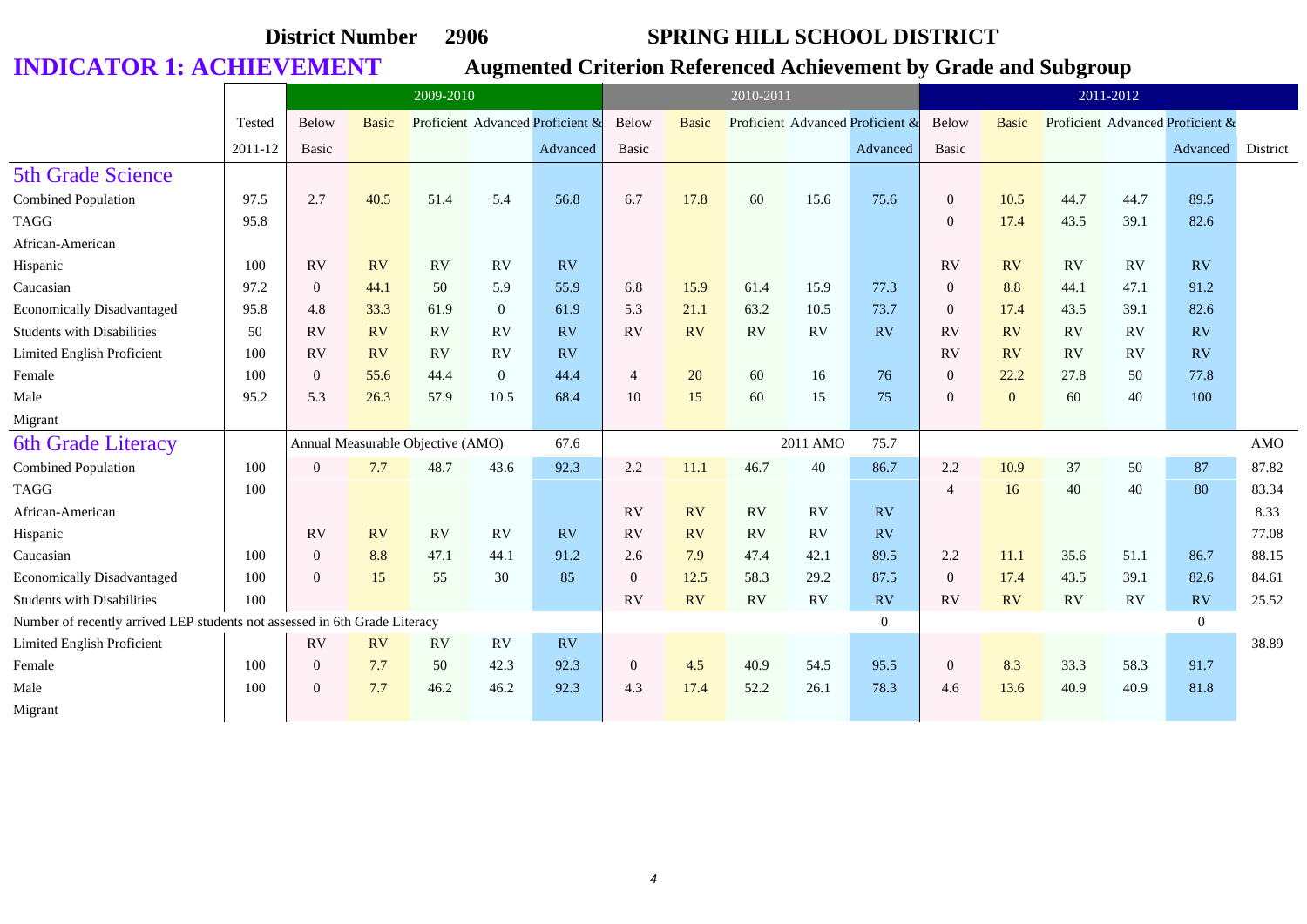|                                                                            |         |                  | 2009-2010    |                                   |              |                                  |                  |              | 2010-2011 |          |                                  |                |              |      | 2011-2012 |                                  |            |
|----------------------------------------------------------------------------|---------|------------------|--------------|-----------------------------------|--------------|----------------------------------|------------------|--------------|-----------|----------|----------------------------------|----------------|--------------|------|-----------|----------------------------------|------------|
|                                                                            | Tested  | Below            | <b>Basic</b> |                                   |              | Proficient Advanced Proficient & | Below            | <b>Basic</b> |           |          | Proficient Advanced Proficient & | Below          | <b>Basic</b> |      |           | Proficient Advanced Proficient & |            |
|                                                                            | 2011-12 | <b>Basic</b>     |              |                                   |              | Advanced                         | Basic            |              |           |          | Advanced                         | Basic          |              |      |           | Advanced                         | District   |
| <b>5th Grade Science</b>                                                   |         |                  |              |                                   |              |                                  |                  |              |           |          |                                  |                |              |      |           |                                  |            |
| <b>Combined Population</b>                                                 | 97.5    | 2.7              | 40.5         | 51.4                              | 5.4          | 56.8                             | 6.7              | 17.8         | 60        | 15.6     | 75.6                             | $\overline{0}$ | 10.5         | 44.7 | 44.7      | 89.5                             |            |
| <b>TAGG</b>                                                                | 95.8    |                  |              |                                   |              |                                  |                  |              |           |          |                                  | $\mathbf{0}$   | 17.4         | 43.5 | 39.1      | 82.6                             |            |
| African-American                                                           |         |                  |              |                                   |              |                                  |                  |              |           |          |                                  |                |              |      |           |                                  |            |
| Hispanic                                                                   | 100     | RV               | <b>RV</b>    | RV                                | <b>RV</b>    | RV                               |                  |              |           |          |                                  | <b>RV</b>      | RV           | RV   | RV        | RV                               |            |
| Caucasian                                                                  | 97.2    | $\theta$         | 44.1         | 50                                | 5.9          | 55.9                             | 6.8              | 15.9         | 61.4      | 15.9     | 77.3                             | $\overline{0}$ | 8.8          | 44.1 | 47.1      | 91.2                             |            |
| <b>Economically Disadvantaged</b>                                          | 95.8    | 4.8              | 33.3         | 61.9                              | $\mathbf{0}$ | 61.9                             | 5.3              | 21.1         | 63.2      | 10.5     | 73.7                             | $\overline{0}$ | 17.4         | 43.5 | 39.1      | 82.6                             |            |
| <b>Students with Disabilities</b>                                          | 50      | RV               | <b>RV</b>    | RV                                | RV           | RV                               | RV               | RV           | <b>RV</b> | RV       | RV                               | <b>RV</b>      | RV           | RV   | RV        | RV                               |            |
| Limited English Proficient                                                 | 100     | RV               | <b>RV</b>    | RV                                | <b>RV</b>    | RV                               |                  |              |           |          |                                  | RV             | <b>RV</b>    | RV   | RV        | RV                               |            |
| Female                                                                     | 100     | $\overline{0}$   | 55.6         | 44.4                              | $\mathbf{0}$ | 44.4                             | $\overline{4}$   | 20           | 60        | 16       | 76                               | $\mathbf{0}$   | 22.2         | 27.8 | 50        | 77.8                             |            |
| Male                                                                       | 95.2    | 5.3              | 26.3         | 57.9                              | 10.5         | 68.4                             | 10               | 15           | 60        | 15       | 75                               | $\mathbf{0}$   | $\mathbf{0}$ | 60   | 40        | 100                              |            |
| Migrant                                                                    |         |                  |              |                                   |              |                                  |                  |              |           |          |                                  |                |              |      |           |                                  |            |
| <b>6th Grade Literacy</b>                                                  |         |                  |              | Annual Measurable Objective (AMO) |              | 67.6                             |                  |              |           | 2011 AMO | 75.7                             |                |              |      |           |                                  | <b>AMO</b> |
| Combined Population                                                        | 100     | $\Omega$         | 7.7          | 48.7                              | 43.6         | 92.3                             | 2.2              | 11.1         | 46.7      | 40       | 86.7                             | 2.2            | 10.9         | 37   | 50        | 87                               | 87.82      |
| <b>TAGG</b>                                                                | 100     |                  |              |                                   |              |                                  |                  |              |           |          |                                  | $\overline{4}$ | 16           | 40   | 40        | 80                               | 83.34      |
| African-American                                                           |         |                  |              |                                   |              |                                  | ${\rm RV}$       | <b>RV</b>    | <b>RV</b> | RV       | <b>RV</b>                        |                |              |      |           |                                  | 8.33       |
| Hispanic                                                                   |         | RV               | <b>RV</b>    | RV                                | <b>RV</b>    | RV                               | <b>RV</b>        | RV           | RV        | RV       | RV                               |                |              |      |           |                                  | 77.08      |
| Caucasian                                                                  | 100     | $\overline{0}$   | 8.8          | 47.1                              | 44.1         | 91.2                             | 2.6              | 7.9          | 47.4      | 42.1     | 89.5                             | 2.2            | 11.1         | 35.6 | 51.1      | 86.7                             | 88.15      |
| <b>Economically Disadvantaged</b>                                          | 100     | $\Omega$         | 15           | 55                                | 30           | 85                               | $\overline{0}$   | 12.5         | 58.3      | 29.2     | 87.5                             | $\theta$       | 17.4         | 43.5 | 39.1      | 82.6                             | 84.61      |
| <b>Students with Disabilities</b>                                          | 100     |                  |              |                                   |              |                                  | <b>RV</b>        | RV           | <b>RV</b> | RV       | <b>RV</b>                        | RV             | RV           | RV   | RV        | <b>RV</b>                        | 25.52      |
| Number of recently arrived LEP students not assessed in 6th Grade Literacy |         |                  |              |                                   |              |                                  |                  |              |           |          | $\overline{0}$                   |                |              |      |           | $\overline{0}$                   |            |
| Limited English Proficient                                                 |         | RV               | RV           | RV                                | RV           | RV                               |                  |              |           |          |                                  |                |              |      |           |                                  | 38.89      |
| Female                                                                     | 100     | $\boldsymbol{0}$ | 7.7          | 50                                | 42.3         | 92.3                             | $\boldsymbol{0}$ | 4.5          | 40.9      | 54.5     | 95.5                             | $\mathbf{0}$   | 8.3          | 33.3 | 58.3      | 91.7                             |            |
| Male                                                                       | 100     | $\overline{0}$   | 7.7          | 46.2                              | 46.2         | 92.3                             | 4.3              | 17.4         | 52.2      | 26.1     | 78.3                             | 4.6            | 13.6         | 40.9 | 40.9      | 81.8                             |            |
| Migrant                                                                    |         |                  |              |                                   |              |                                  |                  |              |           |          |                                  |                |              |      |           |                                  |            |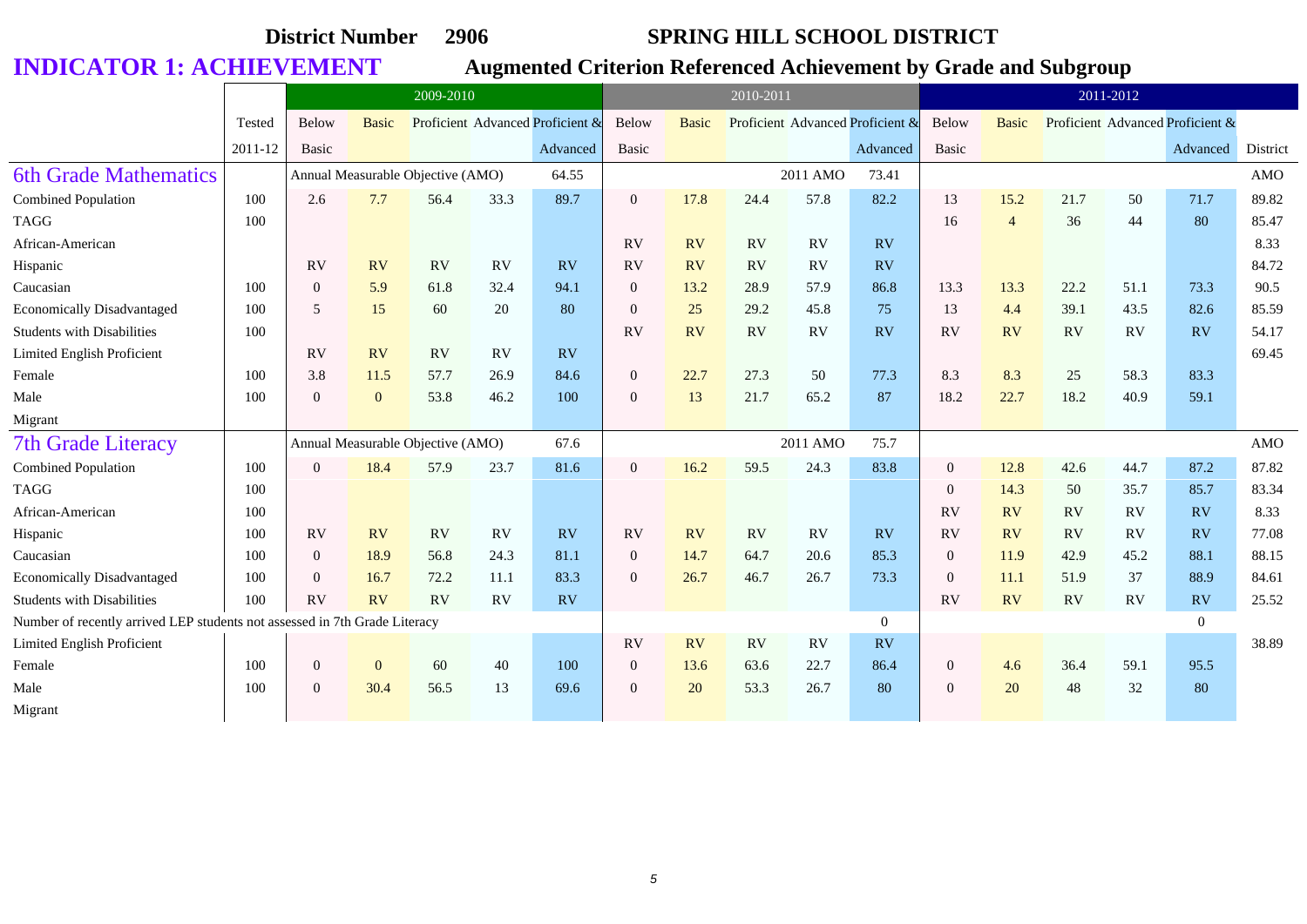|                                                                            |         |                | 2009-2010      |                                   |      |                                  |                  | 2010-2011    |           |          |                                  |                |                | 2011-2012 |           |                                  |            |
|----------------------------------------------------------------------------|---------|----------------|----------------|-----------------------------------|------|----------------------------------|------------------|--------------|-----------|----------|----------------------------------|----------------|----------------|-----------|-----------|----------------------------------|------------|
|                                                                            | Tested  | Below          | <b>Basic</b>   |                                   |      | Proficient Advanced Proficient & | Below            | <b>Basic</b> |           |          | Proficient Advanced Proficient & | Below          | <b>Basic</b>   |           |           | Proficient Advanced Proficient & |            |
|                                                                            | 2011-12 | Basic          |                |                                   |      | Advanced                         | Basic            |              |           |          | Advanced                         | Basic          |                |           |           | Advanced                         | District   |
| <b>6th Grade Mathematics</b>                                               |         |                |                | Annual Measurable Objective (AMO) |      | 64.55                            |                  |              |           | 2011 AMO | 73.41                            |                |                |           |           |                                  | <b>AMO</b> |
| <b>Combined Population</b>                                                 | 100     | 2.6            | 7.7            | 56.4                              | 33.3 | 89.7                             | $\overline{0}$   | 17.8         | 24.4      | 57.8     | 82.2                             | 13             | 15.2           | 21.7      | 50        | 71.7                             | 89.82      |
| <b>TAGG</b>                                                                | 100     |                |                |                                   |      |                                  |                  |              |           |          |                                  | 16             | $\overline{4}$ | 36        | 44        | 80                               | 85.47      |
| African-American                                                           |         |                |                |                                   |      |                                  | <b>RV</b>        | <b>RV</b>    | <b>RV</b> | RV       | RV                               |                |                |           |           |                                  | 8.33       |
| Hispanic                                                                   |         | <b>RV</b>      | <b>RV</b>      | RV                                | RV   | RV                               | <b>RV</b>        | RV           | RV        | RV       | <b>RV</b>                        |                |                |           |           |                                  | 84.72      |
| Caucasian                                                                  | 100     | $\overline{0}$ | 5.9            | 61.8                              | 32.4 | 94.1                             | $\Omega$         | 13.2         | 28.9      | 57.9     | 86.8                             | 13.3           | 13.3           | 22.2      | 51.1      | 73.3                             | 90.5       |
| <b>Economically Disadvantaged</b>                                          | 100     | 5              | 15             | 60                                | 20   | 80                               | $\overline{0}$   | 25           | 29.2      | 45.8     | 75                               | 13             | 4.4            | 39.1      | 43.5      | 82.6                             | 85.59      |
| <b>Students with Disabilities</b>                                          | 100     |                |                |                                   |      |                                  | RV               | RV           | RV        | RV       | RV                               | RV             | RV             | RV        | RV        | RV                               | 54.17      |
| Limited English Proficient                                                 |         | RV             | RV             | RV                                | RV   | RV                               |                  |              |           |          |                                  |                |                |           |           |                                  | 69.45      |
| Female                                                                     | 100     | 3.8            | 11.5           | 57.7                              | 26.9 | 84.6                             | $\mathbf{0}$     | 22.7         | 27.3      | 50       | 77.3                             | 8.3            | 8.3            | 25        | 58.3      | 83.3                             |            |
| Male                                                                       | 100     | $\overline{0}$ | $\Omega$       | 53.8                              | 46.2 | 100                              | $\overline{0}$   | 13           | 21.7      | 65.2     | 87                               | 18.2           | 22.7           | 18.2      | 40.9      | 59.1                             |            |
| Migrant                                                                    |         |                |                |                                   |      |                                  |                  |              |           |          |                                  |                |                |           |           |                                  |            |
| <b>7th Grade Literacy</b>                                                  |         |                |                | Annual Measurable Objective (AMO) |      | 67.6                             |                  |              |           | 2011 AMO | 75.7                             |                |                |           |           |                                  | <b>AMO</b> |
| <b>Combined Population</b>                                                 | 100     | $\overline{0}$ | 18.4           | 57.9                              | 23.7 | 81.6                             | $\overline{0}$   | 16.2         | 59.5      | 24.3     | 83.8                             | $\overline{0}$ | 12.8           | 42.6      | 44.7      | 87.2                             | 87.82      |
| TAGG                                                                       | 100     |                |                |                                   |      |                                  |                  |              |           |          |                                  | $\overline{0}$ | 14.3           | 50        | 35.7      | 85.7                             | 83.34      |
| African-American                                                           | 100     |                |                |                                   |      |                                  |                  |              |           |          |                                  | RV             | RV             | <b>RV</b> | <b>RV</b> | <b>RV</b>                        | 8.33       |
| Hispanic                                                                   | 100     | RV             | <b>RV</b>      | RV                                | RV   | RV                               | <b>RV</b>        | RV           | <b>RV</b> | RV       | RV                               | RV             | RV             | <b>RV</b> | RV        | RV                               | 77.08      |
| Caucasian                                                                  | 100     | $\overline{0}$ | 18.9           | 56.8                              | 24.3 | 81.1                             | $\overline{0}$   | 14.7         | 64.7      | 20.6     | 85.3                             | $\overline{0}$ | 11.9           | 42.9      | 45.2      | 88.1                             | 88.15      |
| <b>Economically Disadvantaged</b>                                          | 100     | $\Omega$       | 16.7           | 72.2                              | 11.1 | 83.3                             | $\theta$         | 26.7         | 46.7      | 26.7     | 73.3                             | $\Omega$       | 11.1           | 51.9      | 37        | 88.9                             | 84.61      |
| <b>Students with Disabilities</b>                                          | 100     | RV             | <b>RV</b>      | RV                                | RV   | RV                               |                  |              |           |          |                                  | RV             | RV             | RV        | RV        | RV                               | 25.52      |
| Number of recently arrived LEP students not assessed in 7th Grade Literacy |         |                |                |                                   |      |                                  |                  |              |           |          | $\overline{0}$                   |                |                |           |           | $\overline{0}$                   |            |
| Limited English Proficient                                                 |         |                |                |                                   |      |                                  | <b>RV</b>        | RV           | <b>RV</b> | RV       | <b>RV</b>                        |                |                |           |           |                                  | 38.89      |
| Female                                                                     | 100     | $\overline{0}$ | $\overline{0}$ | 60                                | 40   | 100                              | $\boldsymbol{0}$ | 13.6         | 63.6      | 22.7     | 86.4                             | $\overline{0}$ | 4.6            | 36.4      | 59.1      | 95.5                             |            |
| Male                                                                       | 100     | $\Omega$       | 30.4           | 56.5                              | 13   | 69.6                             | $\overline{0}$   | 20           | 53.3      | 26.7     | 80                               | $\Omega$       | 20             | 48        | 32        | 80                               |            |
| Migrant                                                                    |         |                |                |                                   |      |                                  |                  |              |           |          |                                  |                |                |           |           |                                  |            |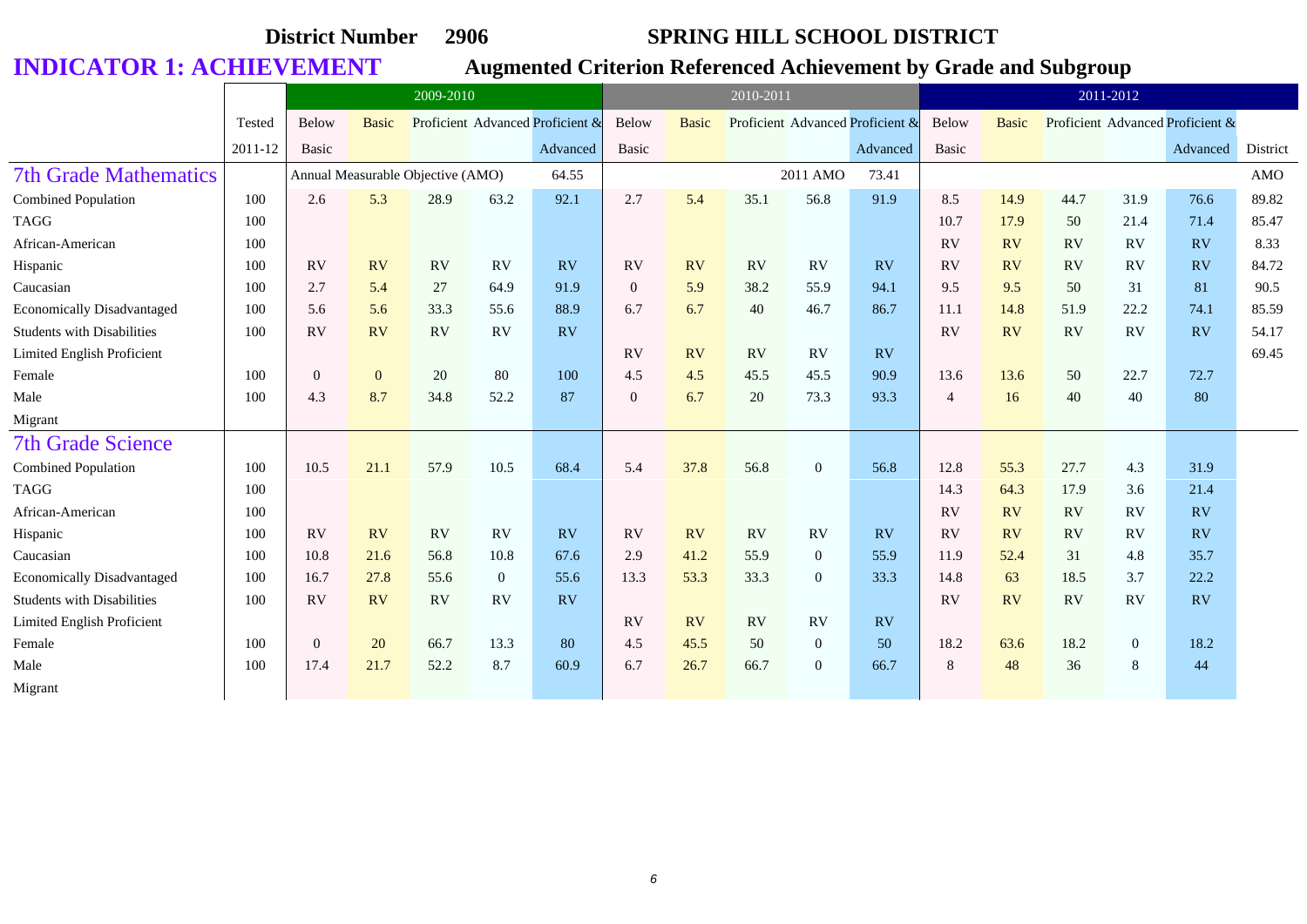|                                   |         |                | 2009-2010    |                                   |                |                                  |                  | 2010-2011    |           |                |                                  |                |              | 2011-2012 |                |                                  |          |
|-----------------------------------|---------|----------------|--------------|-----------------------------------|----------------|----------------------------------|------------------|--------------|-----------|----------------|----------------------------------|----------------|--------------|-----------|----------------|----------------------------------|----------|
|                                   | Tested  | Below          | <b>Basic</b> |                                   |                | Proficient Advanced Proficient & | Below            | <b>Basic</b> |           |                | Proficient Advanced Proficient & | Below          | <b>Basic</b> |           |                | Proficient Advanced Proficient & |          |
|                                   | 2011-12 | Basic          |              |                                   |                | Advanced                         | <b>Basic</b>     |              |           |                | Advanced                         | Basic          |              |           |                | Advanced                         | District |
| <b>7th Grade Mathematics</b>      |         |                |              | Annual Measurable Objective (AMO) |                | 64.55                            |                  |              |           | 2011 AMO       | 73.41                            |                |              |           |                |                                  | AMO      |
| <b>Combined Population</b>        | 100     | 2.6            | 5.3          | 28.9                              | 63.2           | 92.1                             | 2.7              | 5.4          | 35.1      | 56.8           | 91.9                             | 8.5            | 14.9         | 44.7      | 31.9           | 76.6                             | 89.82    |
| <b>TAGG</b>                       | 100     |                |              |                                   |                |                                  |                  |              |           |                |                                  | 10.7           | 17.9         | 50        | 21.4           | 71.4                             | 85.47    |
| African-American                  | 100     |                |              |                                   |                |                                  |                  |              |           |                |                                  | RV             | RV           | <b>RV</b> | RV             | <b>RV</b>                        | 8.33     |
| Hispanic                          | 100     | RV             | <b>RV</b>    | <b>RV</b>                         | RV             | RV                               | <b>RV</b>        | RV           | <b>RV</b> | <b>RV</b>      | <b>RV</b>                        | RV             | RV           | <b>RV</b> | RV             | <b>RV</b>                        | 84.72    |
| Caucasian                         | 100     | 2.7            | 5.4          | 27                                | 64.9           | 91.9                             | $\boldsymbol{0}$ | 5.9          | 38.2      | 55.9           | 94.1                             | 9.5            | 9.5          | 50        | 31             | 81                               | 90.5     |
| <b>Economically Disadvantaged</b> | 100     | 5.6            | 5.6          | 33.3                              | 55.6           | 88.9                             | 6.7              | 6.7          | 40        | 46.7           | 86.7                             | 11.1           | 14.8         | 51.9      | 22.2           | 74.1                             | 85.59    |
| <b>Students with Disabilities</b> | 100     | RV             | RV           | RV                                | RV             | RV                               |                  |              |           |                |                                  | RV             | RV           | <b>RV</b> | RV             | RV                               | 54.17    |
| Limited English Proficient        |         |                |              |                                   |                |                                  | RV               | RV           | <b>RV</b> | RV             | <b>RV</b>                        |                |              |           |                |                                  | 69.45    |
| Female                            | 100     | $\overline{0}$ | $\mathbf{0}$ | 20                                | 80             | 100                              | 4.5              | 4.5          | 45.5      | 45.5           | 90.9                             | 13.6           | 13.6         | 50        | 22.7           | 72.7                             |          |
| Male                              | 100     | 4.3            | 8.7          | 34.8                              | 52.2           | 87                               | $\overline{0}$   | 6.7          | 20        | 73.3           | 93.3                             | $\overline{4}$ | 16           | 40        | 40             | 80                               |          |
| Migrant                           |         |                |              |                                   |                |                                  |                  |              |           |                |                                  |                |              |           |                |                                  |          |
| <b>7th Grade Science</b>          |         |                |              |                                   |                |                                  |                  |              |           |                |                                  |                |              |           |                |                                  |          |
| <b>Combined Population</b>        | 100     | 10.5           | 21.1         | 57.9                              | 10.5           | 68.4                             | 5.4              | 37.8         | 56.8      | $\overline{0}$ | 56.8                             | 12.8           | 55.3         | 27.7      | 4.3            | 31.9                             |          |
| <b>TAGG</b>                       | 100     |                |              |                                   |                |                                  |                  |              |           |                |                                  | 14.3           | 64.3         | 17.9      | 3.6            | 21.4                             |          |
| African-American                  | 100     |                |              |                                   |                |                                  |                  |              |           |                |                                  | RV             | <b>RV</b>    | <b>RV</b> | RV             | <b>RV</b>                        |          |
| Hispanic                          | 100     | RV             | <b>RV</b>    | RV                                | RV             | RV                               | <b>RV</b>        | RV           | <b>RV</b> | RV             | <b>RV</b>                        | RV             | RV           | <b>RV</b> | RV             | RV                               |          |
| Caucasian                         | 100     | 10.8           | 21.6         | 56.8                              | 10.8           | 67.6                             | 2.9              | 41.2         | 55.9      | $\overline{0}$ | 55.9                             | 11.9           | 52.4         | 31        | 4.8            | 35.7                             |          |
| <b>Economically Disadvantaged</b> | 100     | 16.7           | 27.8         | 55.6                              | $\overline{0}$ | 55.6                             | 13.3             | 53.3         | 33.3      | $\overline{0}$ | 33.3                             | 14.8           | 63           | 18.5      | 3.7            | 22.2                             |          |
| <b>Students with Disabilities</b> | 100     | RV             | <b>RV</b>    | RV                                | RV             | RV                               |                  |              |           |                |                                  | <b>RV</b>      | RV           | <b>RV</b> | RV             | <b>RV</b>                        |          |
| Limited English Proficient        |         |                |              |                                   |                |                                  | <b>RV</b>        | <b>RV</b>    | <b>RV</b> | RV             | RV                               |                |              |           |                |                                  |          |
| Female                            | 100     | $\overline{0}$ | 20           | 66.7                              | 13.3           | 80                               | 4.5              | 45.5         | 50        | $\overline{0}$ | 50                               | 18.2           | 63.6         | 18.2      | $\overline{0}$ | 18.2                             |          |
| Male                              | 100     | 17.4           | 21.7         | 52.2                              | 8.7            | 60.9                             | 6.7              | 26.7         | 66.7      | $\overline{0}$ | 66.7                             | 8              | 48           | 36        | 8              | 44                               |          |
| Migrant                           |         |                |              |                                   |                |                                  |                  |              |           |                |                                  |                |              |           |                |                                  |          |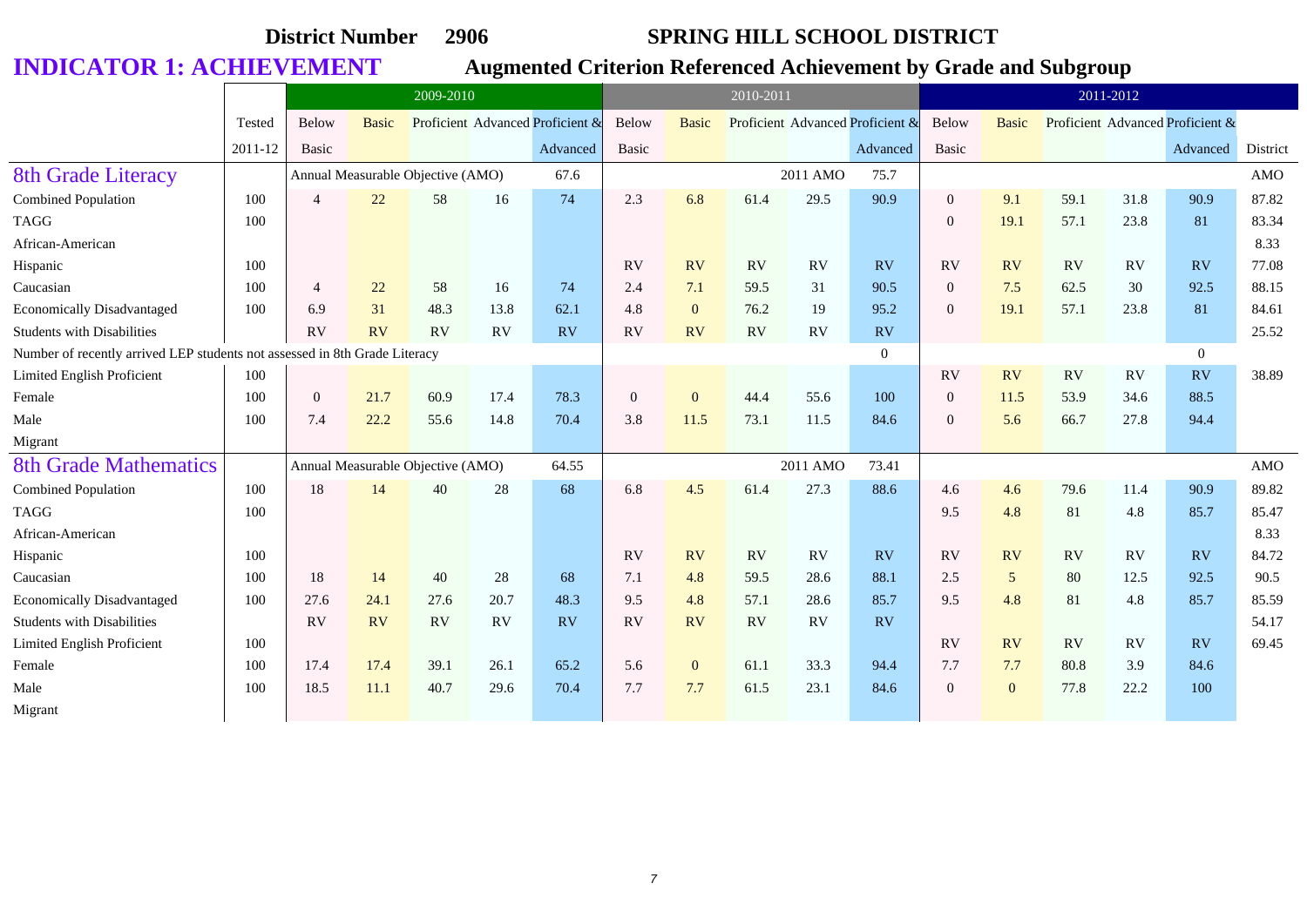|                                                                            |         |                | 2009-2010    |                                   |      |                                  |              |                | 2010-2011 |           |                                  |                |                |      | 2011-2012 |                                  |          |
|----------------------------------------------------------------------------|---------|----------------|--------------|-----------------------------------|------|----------------------------------|--------------|----------------|-----------|-----------|----------------------------------|----------------|----------------|------|-----------|----------------------------------|----------|
|                                                                            | Tested  | Below          | <b>Basic</b> |                                   |      | Proficient Advanced Proficient & | Below        | <b>Basic</b>   |           |           | Proficient Advanced Proficient & | Below          | <b>Basic</b>   |      |           | Proficient Advanced Proficient & |          |
|                                                                            | 2011-12 | <b>Basic</b>   |              |                                   |      | Advanced                         | Basic        |                |           |           | Advanced                         | Basic          |                |      |           | Advanced                         | District |
| <b>8th Grade Literacy</b>                                                  |         |                |              | Annual Measurable Objective (AMO) |      | 67.6                             |              |                |           | 2011 AMO  | 75.7                             |                |                |      |           |                                  | AMO      |
| <b>Combined Population</b>                                                 | 100     | $\Delta$       | 22           | 58                                | 16   | 74                               | 2.3          | 6.8            | 61.4      | 29.5      | 90.9                             | $\theta$       | 9.1            | 59.1 | 31.8      | 90.9                             | 87.82    |
| <b>TAGG</b>                                                                | 100     |                |              |                                   |      |                                  |              |                |           |           |                                  | $\overline{0}$ | 19.1           | 57.1 | 23.8      | 81                               | 83.34    |
| African-American                                                           |         |                |              |                                   |      |                                  |              |                |           |           |                                  |                |                |      |           |                                  | 8.33     |
| Hispanic                                                                   | 100     |                |              |                                   |      |                                  | <b>RV</b>    | RV             | RV        | RV        | RV                               | <b>RV</b>      | RV             | RV   | RV        | RV                               | 77.08    |
| Caucasian                                                                  | 100     | $\overline{4}$ | 22           | 58                                | 16   | 74                               | 2.4          | 7.1            | 59.5      | 31        | 90.5                             | $\mathbf{0}$   | 7.5            | 62.5 | 30        | 92.5                             | 88.15    |
| <b>Economically Disadvantaged</b>                                          | 100     | 6.9            | 31           | 48.3                              | 13.8 | 62.1                             | 4.8          | $\overline{0}$ | 76.2      | 19        | 95.2                             | $\overline{0}$ | 19.1           | 57.1 | 23.8      | 81                               | 84.61    |
| <b>Students with Disabilities</b>                                          |         | RV             | <b>RV</b>    | RV                                | RV   | RV                               | RV           | RV             | RV        | <b>RV</b> | RV                               |                |                |      |           |                                  | 25.52    |
| Number of recently arrived LEP students not assessed in 8th Grade Literacy |         |                |              |                                   |      |                                  |              |                |           |           | $\overline{0}$                   |                |                |      |           | $\overline{0}$                   |          |
| Limited English Proficient                                                 | 100     |                |              |                                   |      |                                  |              |                |           |           |                                  | <b>RV</b>      | RV             | RV   | <b>RV</b> | RV                               | 38.89    |
| Female                                                                     | 100     | $\Omega$       | 21.7         | 60.9                              | 17.4 | 78.3                             | $\mathbf{0}$ | $\mathbf{0}$   | 44.4      | 55.6      | 100                              | $\overline{0}$ | 11.5           | 53.9 | 34.6      | 88.5                             |          |
| Male                                                                       | 100     | 7.4            | 22.2         | 55.6                              | 14.8 | 70.4                             | 3.8          | 11.5           | 73.1      | 11.5      | 84.6                             | $\Omega$       | 5.6            | 66.7 | 27.8      | 94.4                             |          |
| Migrant                                                                    |         |                |              |                                   |      |                                  |              |                |           |           |                                  |                |                |      |           |                                  |          |
| <b>8th Grade Mathematics</b>                                               |         |                |              | Annual Measurable Objective (AMO) |      | 64.55                            |              |                |           | 2011 AMO  | 73.41                            |                |                |      |           |                                  | AMO      |
| <b>Combined Population</b>                                                 | 100     | 18             | 14           | 40                                | 28   | 68                               | 6.8          | 4.5            | 61.4      | 27.3      | 88.6                             | 4.6            | 4.6            | 79.6 | 11.4      | 90.9                             | 89.82    |
| <b>TAGG</b>                                                                | 100     |                |              |                                   |      |                                  |              |                |           |           |                                  | 9.5            | 4.8            | 81   | 4.8       | 85.7                             | 85.47    |
| African-American                                                           |         |                |              |                                   |      |                                  |              |                |           |           |                                  |                |                |      |           |                                  | 8.33     |
| Hispanic                                                                   | 100     |                |              |                                   |      |                                  | <b>RV</b>    | RV             | <b>RV</b> | <b>RV</b> | RV                               | <b>RV</b>      | RV             | RV   | <b>RV</b> | RV                               | 84.72    |
| Caucasian                                                                  | 100     | 18             | 14           | 40                                | 28   | 68                               | 7.1          | 4.8            | 59.5      | 28.6      | 88.1                             | 2.5            | $\mathfrak{S}$ | 80   | 12.5      | 92.5                             | 90.5     |
| <b>Economically Disadvantaged</b>                                          | 100     | 27.6           | 24.1         | 27.6                              | 20.7 | 48.3                             | 9.5          | 4.8            | 57.1      | 28.6      | 85.7                             | 9.5            | 4.8            | 81   | 4.8       | 85.7                             | 85.59    |
| <b>Students with Disabilities</b>                                          |         | RV             | <b>RV</b>    | <b>RV</b>                         | RV   | RV                               | RV           | RV             | <b>RV</b> | <b>RV</b> | RV                               |                |                |      |           |                                  | 54.17    |
| Limited English Proficient                                                 | 100     |                |              |                                   |      |                                  |              |                |           |           |                                  | <b>RV</b>      | RV             | RV   | RV        | RV                               | 69.45    |
| Female                                                                     | 100     | 17.4           | 17.4         | 39.1                              | 26.1 | 65.2                             | 5.6          | $\mathbf{0}$   | 61.1      | 33.3      | 94.4                             | 7.7            | 7.7            | 80.8 | 3.9       | 84.6                             |          |
| Male                                                                       | 100     | 18.5           | 11.1         | 40.7                              | 29.6 | 70.4                             | 7.7          | 7.7            | 61.5      | 23.1      | 84.6                             | $\Omega$       | $\mathbf{0}$   | 77.8 | 22.2      | 100                              |          |
| Migrant                                                                    |         |                |              |                                   |      |                                  |              |                |           |           |                                  |                |                |      |           |                                  |          |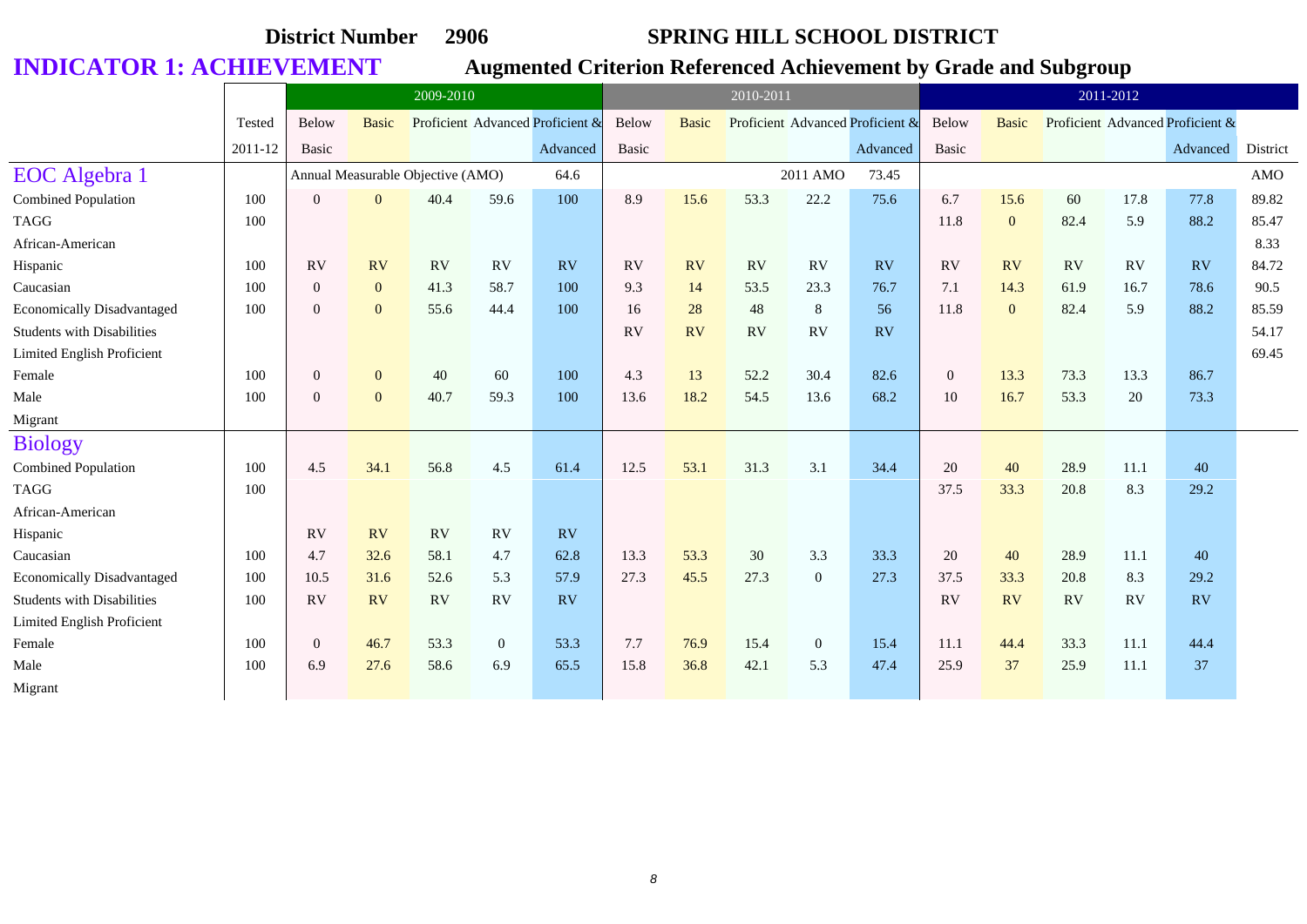|                                   |         |                | 2009-2010    |                                   |                |                                  |           |              | 2010-2011 |                |                                  |              |              |      | 2011-2012 |                                  |          |
|-----------------------------------|---------|----------------|--------------|-----------------------------------|----------------|----------------------------------|-----------|--------------|-----------|----------------|----------------------------------|--------------|--------------|------|-----------|----------------------------------|----------|
|                                   | Tested  | Below          | <b>Basic</b> |                                   |                | Proficient Advanced Proficient & | Below     | <b>Basic</b> |           |                | Proficient Advanced Proficient & | Below        | <b>Basic</b> |      |           | Proficient Advanced Proficient & |          |
|                                   | 2011-12 | <b>Basic</b>   |              |                                   |                | Advanced                         | Basic     |              |           |                | Advanced                         | Basic        |              |      |           | Advanced                         | District |
| EOC Algebra 1                     |         |                |              | Annual Measurable Objective (AMO) |                | 64.6                             |           |              |           | 2011 AMO       | 73.45                            |              |              |      |           |                                  | AMO      |
| Combined Population               | 100     | $\overline{0}$ | $\mathbf{0}$ | 40.4                              | 59.6           | 100                              | 8.9       | 15.6         | 53.3      | 22.2           | 75.6                             | 6.7          | 15.6         | 60   | 17.8      | 77.8                             | 89.82    |
| <b>TAGG</b>                       | 100     |                |              |                                   |                |                                  |           |              |           |                |                                  | 11.8         | $\mathbf{0}$ | 82.4 | 5.9       | 88.2                             | 85.47    |
| African-American                  |         |                |              |                                   |                |                                  |           |              |           |                |                                  |              |              |      |           |                                  | 8.33     |
| Hispanic                          | 100     | RV             | <b>RV</b>    | <b>RV</b>                         | RV             | RV                               | <b>RV</b> | <b>RV</b>    | RV        | <b>RV</b>      | <b>RV</b>                        | RV           | RV           | RV   | RV        | RV                               | 84.72    |
| Caucasian                         | 100     | $\overline{0}$ | $\mathbf{0}$ | 41.3                              | 58.7           | 100                              | 9.3       | 14           | 53.5      | 23.3           | 76.7                             | 7.1          | 14.3         | 61.9 | 16.7      | 78.6                             | 90.5     |
| <b>Economically Disadvantaged</b> | 100     | $\overline{0}$ | $\mathbf{0}$ | 55.6                              | 44.4           | 100                              | 16        | 28           | 48        | 8              | 56                               | 11.8         | $\mathbf{0}$ | 82.4 | 5.9       | 88.2                             | 85.59    |
| <b>Students with Disabilities</b> |         |                |              |                                   |                |                                  | <b>RV</b> | RV           | RV        | <b>RV</b>      | RV                               |              |              |      |           |                                  | 54.17    |
| Limited English Proficient        |         |                |              |                                   |                |                                  |           |              |           |                |                                  |              |              |      |           |                                  | 69.45    |
| Female                            | 100     | $\overline{0}$ | $\mathbf{0}$ | 40                                | 60             | 100                              | 4.3       | 13           | 52.2      | 30.4           | 82.6                             | $\mathbf{0}$ | 13.3         | 73.3 | 13.3      | 86.7                             |          |
| Male                              | 100     | $\overline{0}$ | $\mathbf{0}$ | 40.7                              | 59.3           | 100                              | 13.6      | 18.2         | 54.5      | 13.6           | 68.2                             | 10           | 16.7         | 53.3 | 20        | 73.3                             |          |
| Migrant                           |         |                |              |                                   |                |                                  |           |              |           |                |                                  |              |              |      |           |                                  |          |
| <b>Biology</b>                    |         |                |              |                                   |                |                                  |           |              |           |                |                                  |              |              |      |           |                                  |          |
| <b>Combined Population</b>        | 100     | 4.5            | 34.1         | 56.8                              | 4.5            | 61.4                             | 12.5      | 53.1         | 31.3      | 3.1            | 34.4                             | 20           | 40           | 28.9 | 11.1      | 40                               |          |
| <b>TAGG</b>                       | 100     |                |              |                                   |                |                                  |           |              |           |                |                                  | 37.5         | 33.3         | 20.8 | 8.3       | 29.2                             |          |
| African-American                  |         |                |              |                                   |                |                                  |           |              |           |                |                                  |              |              |      |           |                                  |          |
| Hispanic                          |         | RV             | RV           | <b>RV</b>                         | <b>RV</b>      | <b>RV</b>                        |           |              |           |                |                                  |              |              |      |           |                                  |          |
| Caucasian                         | 100     | 4.7            | 32.6         | 58.1                              | 4.7            | 62.8                             | 13.3      | 53.3         | 30        | 3.3            | 33.3                             | 20           | 40           | 28.9 | 11.1      | 40                               |          |
| <b>Economically Disadvantaged</b> | 100     | 10.5           | 31.6         | 52.6                              | 5.3            | 57.9                             | 27.3      | 45.5         | 27.3      | $\overline{0}$ | 27.3                             | 37.5         | 33.3         | 20.8 | 8.3       | 29.2                             |          |
| <b>Students with Disabilities</b> | 100     | RV             | RV           | RV                                | RV             | RV                               |           |              |           |                |                                  | RV           | RV           | RV   | RV        | <b>RV</b>                        |          |
| Limited English Proficient        |         |                |              |                                   |                |                                  |           |              |           |                |                                  |              |              |      |           |                                  |          |
| Female                            | 100     | $\overline{0}$ | 46.7         | 53.3                              | $\overline{0}$ | 53.3                             | 7.7       | 76.9         | 15.4      | $\overline{0}$ | 15.4                             | 11.1         | 44.4         | 33.3 | 11.1      | 44.4                             |          |
| Male                              | 100     | 6.9            | 27.6         | 58.6                              | 6.9            | 65.5                             | 15.8      | 36.8         | 42.1      | 5.3            | 47.4                             | 25.9         | 37           | 25.9 | 11.1      | 37                               |          |
| Migrant                           |         |                |              |                                   |                |                                  |           |              |           |                |                                  |              |              |      |           |                                  |          |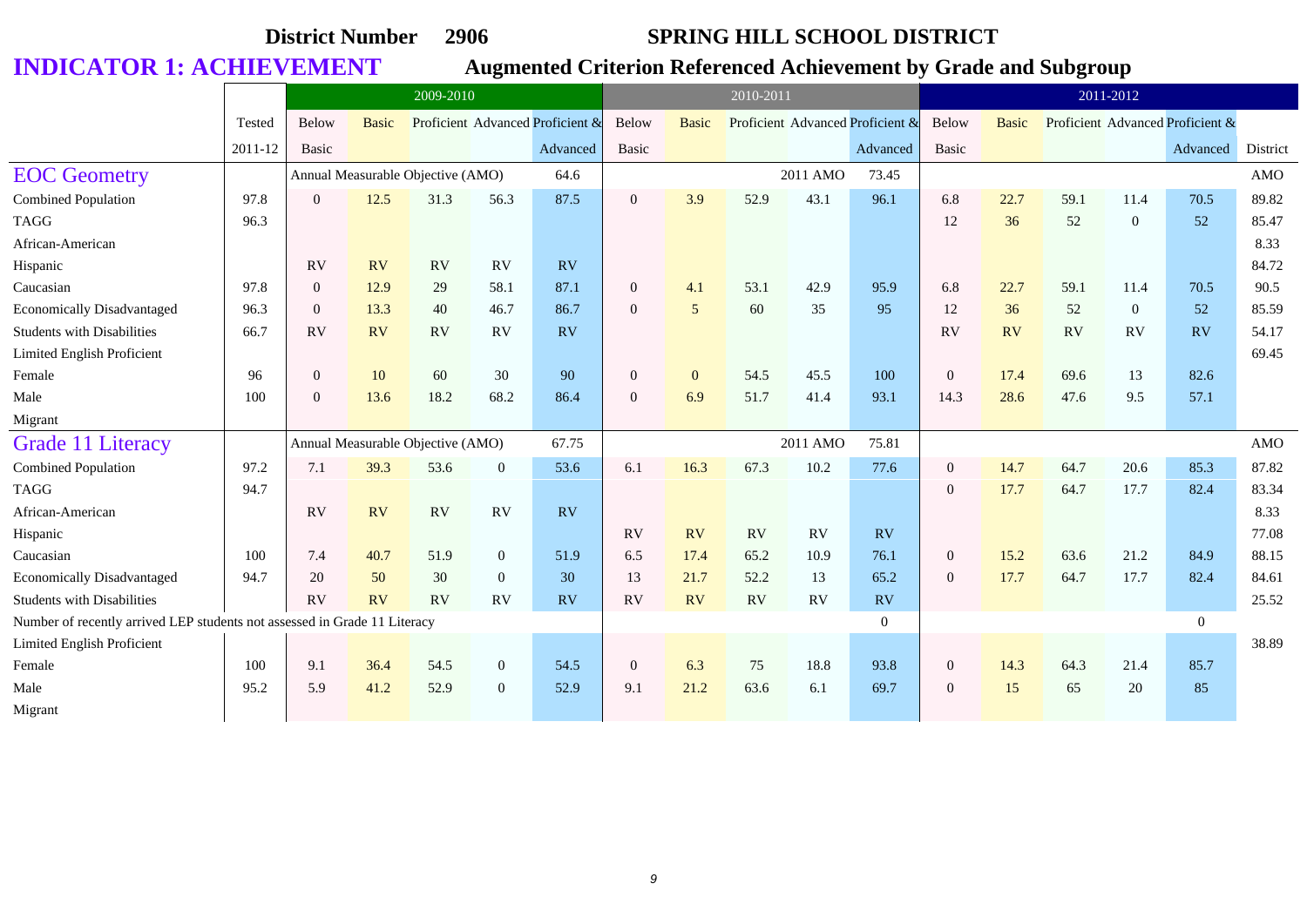|                                                                           |         |                | 2009-2010    |                                   |                |                                  |                | 2010-2011      |      |          |                                  |                |              | 2011-2012 |                |                                  |          |
|---------------------------------------------------------------------------|---------|----------------|--------------|-----------------------------------|----------------|----------------------------------|----------------|----------------|------|----------|----------------------------------|----------------|--------------|-----------|----------------|----------------------------------|----------|
|                                                                           | Tested  | Below          | <b>Basic</b> |                                   |                | Proficient Advanced Proficient & | <b>Below</b>   | <b>Basic</b>   |      |          | Proficient Advanced Proficient & | Below          | <b>Basic</b> |           |                | Proficient Advanced Proficient & |          |
|                                                                           | 2011-12 | <b>Basic</b>   |              |                                   |                | Advanced                         | Basic          |                |      |          | Advanced                         | Basic          |              |           |                | Advanced                         | District |
| <b>EOC</b> Geometry                                                       |         |                |              | Annual Measurable Objective (AMO) |                | 64.6                             |                |                |      | 2011 AMO | 73.45                            |                |              |           |                |                                  | AMO      |
| Combined Population                                                       | 97.8    | $\Omega$       | 12.5         | 31.3                              | 56.3           | 87.5                             | $\overline{0}$ | 3.9            | 52.9 | 43.1     | 96.1                             | 6.8            | 22.7         | 59.1      | 11.4           | 70.5                             | 89.82    |
| <b>TAGG</b>                                                               | 96.3    |                |              |                                   |                |                                  |                |                |      |          |                                  | 12             | 36           | 52        | $\overline{0}$ | 52                               | 85.47    |
| African-American                                                          |         |                |              |                                   |                |                                  |                |                |      |          |                                  |                |              |           |                |                                  | 8.33     |
| Hispanic                                                                  |         | RV             | RV           | RV                                | RV             | <b>RV</b>                        |                |                |      |          |                                  |                |              |           |                |                                  | 84.72    |
| Caucasian                                                                 | 97.8    | $\Omega$       | 12.9         | 29                                | 58.1           | 87.1                             | $\mathbf{0}$   | 4.1            | 53.1 | 42.9     | 95.9                             | 6.8            | 22.7         | 59.1      | 11.4           | 70.5                             | 90.5     |
| <b>Economically Disadvantaged</b>                                         | 96.3    | $\overline{0}$ | 13.3         | 40                                | 46.7           | 86.7                             | $\overline{0}$ | $\overline{5}$ | 60   | 35       | 95                               | 12             | 36           | 52        | $\overline{0}$ | 52                               | 85.59    |
| <b>Students with Disabilities</b>                                         | 66.7    | RV             | <b>RV</b>    | RV                                | RV             | <b>RV</b>                        |                |                |      |          |                                  | RV             | RV           | <b>RV</b> | <b>RV</b>      | RV                               | 54.17    |
| Limited English Proficient                                                |         |                |              |                                   |                |                                  |                |                |      |          |                                  |                |              |           |                |                                  | 69.45    |
| Female                                                                    | 96      | $\overline{0}$ | 10           | 60                                | 30             | 90                               | $\mathbf{0}$   | $\overline{0}$ | 54.5 | 45.5     | 100                              | $\overline{0}$ | 17.4         | 69.6      | 13             | 82.6                             |          |
| Male                                                                      | 100     | $\Omega$       | 13.6         | 18.2                              | 68.2           | 86.4                             | $\overline{0}$ | 6.9            | 51.7 | 41.4     | 93.1                             | 14.3           | 28.6         | 47.6      | 9.5            | 57.1                             |          |
| Migrant                                                                   |         |                |              |                                   |                |                                  |                |                |      |          |                                  |                |              |           |                |                                  |          |
| Grade 11 Literacy                                                         |         |                |              | Annual Measurable Objective (AMO) |                | 67.75                            |                |                |      | 2011 AMO | 75.81                            |                |              |           |                |                                  | AMO      |
| <b>Combined Population</b>                                                | 97.2    | 7.1            | 39.3         | 53.6                              | $\overline{0}$ | 53.6                             | 6.1            | 16.3           | 67.3 | 10.2     | 77.6                             | $\overline{0}$ | 14.7         | 64.7      | 20.6           | 85.3                             | 87.82    |
| <b>TAGG</b>                                                               | 94.7    |                |              |                                   |                |                                  |                |                |      |          |                                  | $\overline{0}$ | 17.7         | 64.7      | 17.7           | 82.4                             | 83.34    |
| African-American                                                          |         | RV             | <b>RV</b>    | RV                                | RV             | RV                               |                |                |      |          |                                  |                |              |           |                |                                  | 8.33     |
| Hispanic                                                                  |         |                |              |                                   |                |                                  | <b>RV</b>      | <b>RV</b>      | RV   | RV       | <b>RV</b>                        |                |              |           |                |                                  | 77.08    |
| Caucasian                                                                 | 100     | 7.4            | 40.7         | 51.9                              | $\overline{0}$ | 51.9                             | 6.5            | 17.4           | 65.2 | 10.9     | 76.1                             | $\overline{0}$ | 15.2         | 63.6      | 21.2           | 84.9                             | 88.15    |
| <b>Economically Disadvantaged</b>                                         | 94.7    | 20             | 50           | 30                                | $\mathbf{0}$   | 30                               | 13             | 21.7           | 52.2 | 13       | 65.2                             | $\overline{0}$ | 17.7         | 64.7      | 17.7           | 82.4                             | 84.61    |
| <b>Students with Disabilities</b>                                         |         | RV             | <b>RV</b>    | RV                                | RV             | <b>RV</b>                        | <b>RV</b>      | RV             | RV   | RV       | <b>RV</b>                        |                |              |           |                |                                  | 25.52    |
| Number of recently arrived LEP students not assessed in Grade 11 Literacy |         |                |              |                                   |                |                                  |                |                |      |          | $\mathbf{0}$                     |                |              |           |                | $\overline{0}$                   |          |
| Limited English Proficient                                                |         |                |              |                                   |                |                                  |                |                |      |          |                                  |                |              |           |                |                                  | 38.89    |
| Female                                                                    | 100     | 9.1            | 36.4         | 54.5                              | $\mathbf{0}$   | 54.5                             | $\mathbf{0}$   | 6.3            | 75   | 18.8     | 93.8                             | $\overline{0}$ | 14.3         | 64.3      | 21.4           | 85.7                             |          |
| Male                                                                      | 95.2    | 5.9            | 41.2         | 52.9                              | $\mathbf{0}$   | 52.9                             | 9.1            | 21.2           | 63.6 | 6.1      | 69.7                             | $\overline{0}$ | 15           | 65        | 20             | 85                               |          |
| Migrant                                                                   |         |                |              |                                   |                |                                  |                |                |      |          |                                  |                |              |           |                |                                  |          |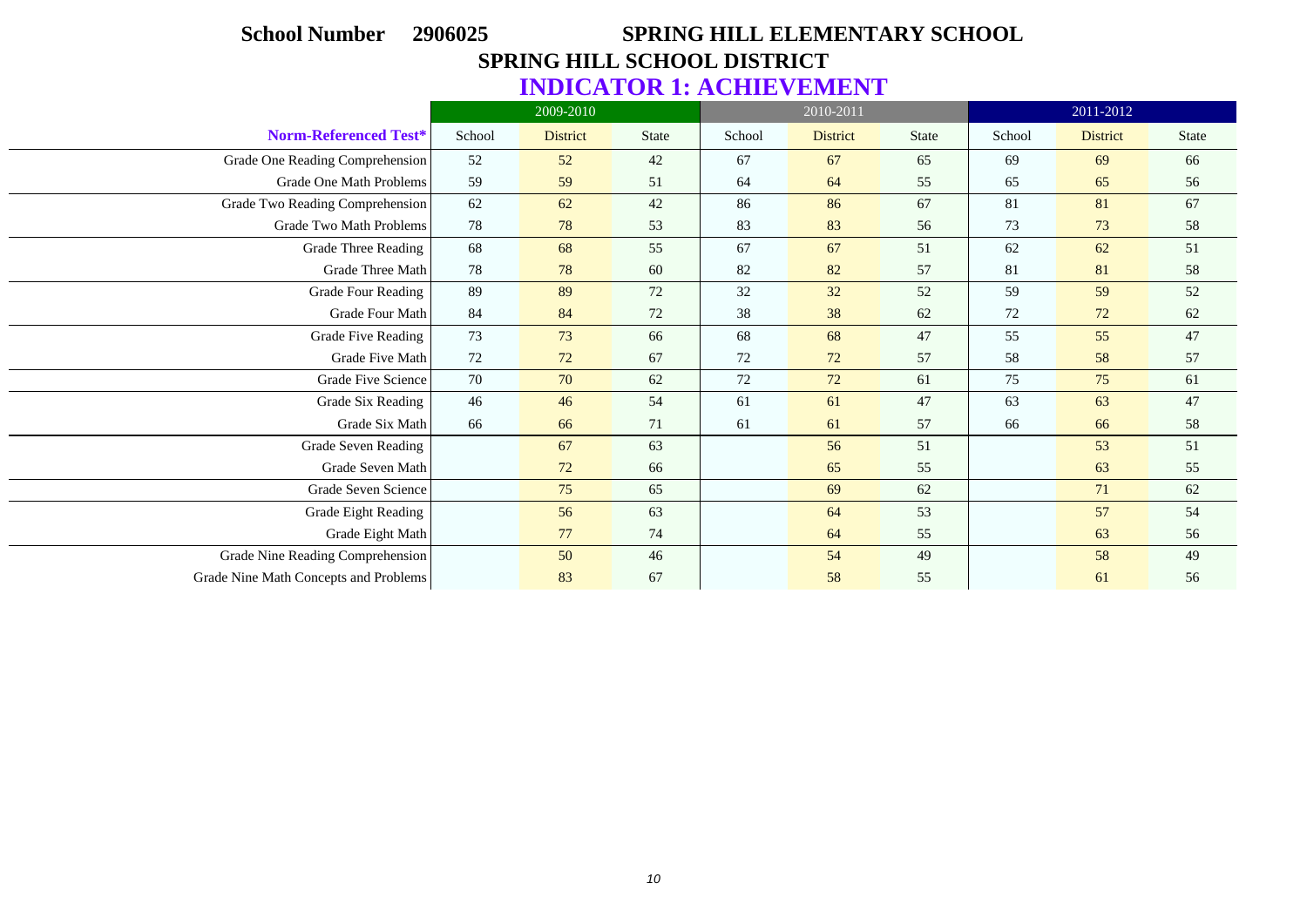# **School Number 2906025 SPRING HILL ELEMENTARY SCHOOL SPRING HILL SCHOOL DISTRICT INDICATOR 1: ACHIEVEMENT**

|                                       |        | 2009-2010       |              |        | 2010-2011       |              |        | 2011-2012       |              |
|---------------------------------------|--------|-----------------|--------------|--------|-----------------|--------------|--------|-----------------|--------------|
| Norm-Referenced Test*                 | School | <b>District</b> | <b>State</b> | School | <b>District</b> | <b>State</b> | School | <b>District</b> | <b>State</b> |
| Grade One Reading Comprehension       | 52     | 52              | 42           | 67     | 67              | 65           | 69     | 69              | 66           |
| Grade One Math Problems               | 59     | 59              | 51           | 64     | 64              | 55           | 65     | 65              | 56           |
| Grade Two Reading Comprehension       | 62     | 62              | 42           | 86     | 86              | 67           | 81     | 81              | 67           |
| Grade Two Math Problems               | 78     | 78              | 53           | 83     | 83              | 56           | 73     | 73              | 58           |
| <b>Grade Three Reading</b>            | 68     | 68              | 55           | 67     | 67              | 51           | 62     | 62              | 51           |
| Grade Three Math                      | 78     | 78              | 60           | 82     | 82              | 57           | 81     | 81              | 58           |
| Grade Four Reading                    | 89     | 89              | 72           | 32     | 32              | 52           | 59     | 59              | 52           |
| Grade Four Math                       | 84     | 84              | 72           | 38     | 38              | 62           | 72     | 72              | $62\,$       |
| Grade Five Reading                    | 73     | 73              | 66           | 68     | 68              | 47           | 55     | 55              | 47           |
| Grade Five Math                       | 72     | 72              | 67           | 72     | 72              | 57           | 58     | 58              | 57           |
| Grade Five Science                    | 70     | 70              | 62           | 72     | 72              | 61           | 75     | 75              | 61           |
| Grade Six Reading                     | 46     | 46              | 54           | 61     | 61              | 47           | 63     | 63              | 47           |
| Grade Six Math                        | 66     | 66              | 71           | 61     | 61              | 57           | 66     | 66              | 58           |
| Grade Seven Reading                   |        | 67              | 63           |        | 56              | 51           |        | 53              | 51           |
| Grade Seven Math                      |        | 72              | 66           |        | 65              | 55           |        | 63              | 55           |
| Grade Seven Science                   |        | 75              | 65           |        | 69              | 62           |        | 71              | 62           |
| Grade Eight Reading                   |        | 56              | 63           |        | 64              | 53           |        | 57              | 54           |
| Grade Eight Math                      |        | 77              | 74           |        | 64              | 55           |        | 63              | 56           |
| Grade Nine Reading Comprehension      |        | 50              | 46           |        | 54              | 49           |        | 58              | 49           |
| Grade Nine Math Concepts and Problems |        | 83              | 67           |        | 58              | 55           |        | 61              | 56           |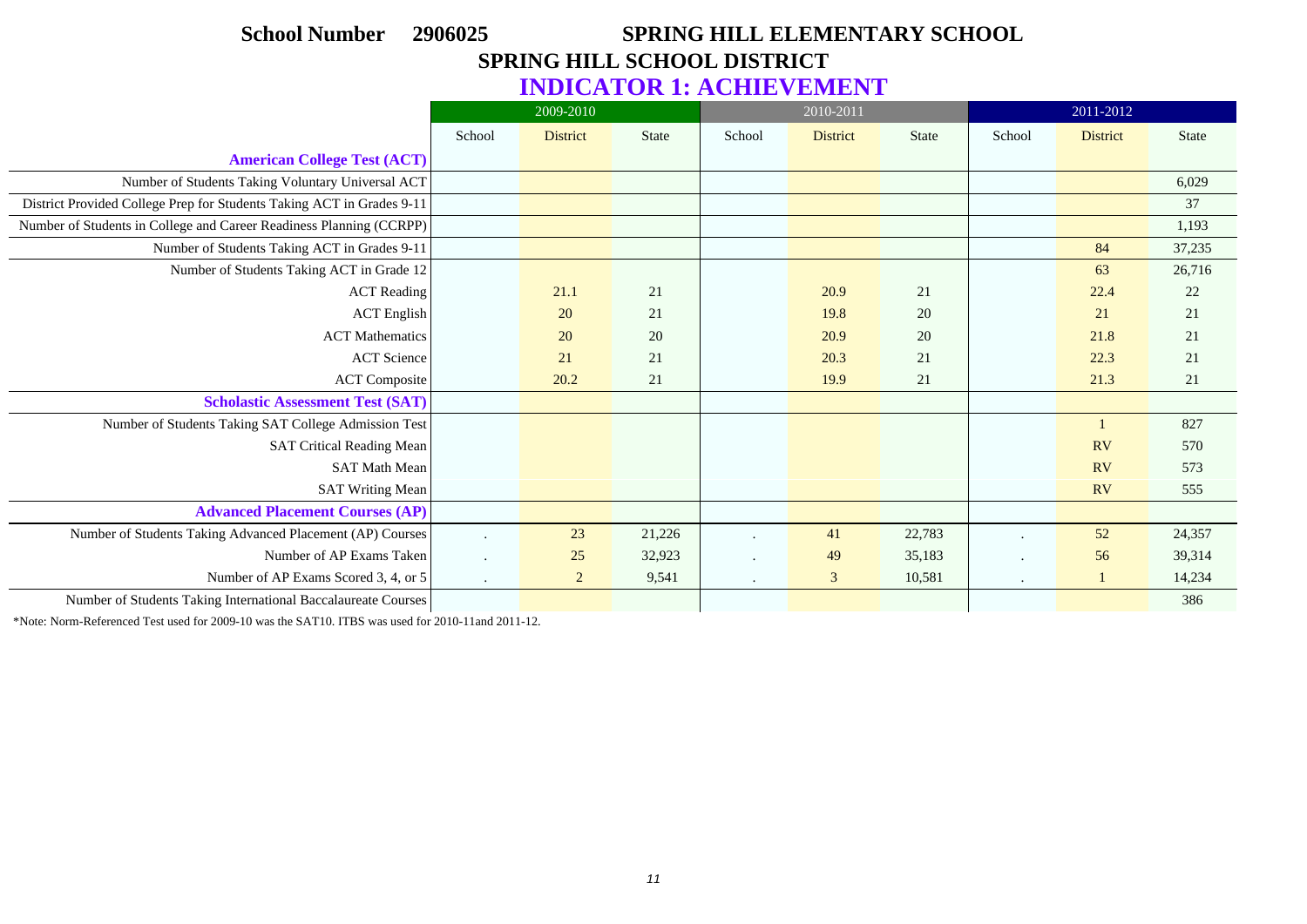### **School Number 2906025 SPRING HILL ELEMENTARY SCHOOL SPRING HILL SCHOOL DISTRICT INDICATOR 1: ACHIEVEMENT**

|                                                                       |                      | 2009-2010       |              |         | 2010-2011       |              |         | 2011-2012       |              |
|-----------------------------------------------------------------------|----------------------|-----------------|--------------|---------|-----------------|--------------|---------|-----------------|--------------|
|                                                                       | School               | <b>District</b> | <b>State</b> | School  | <b>District</b> | <b>State</b> | School  | <b>District</b> | <b>State</b> |
| <b>American College Test (ACT)</b>                                    |                      |                 |              |         |                 |              |         |                 |              |
| Number of Students Taking Voluntary Universal ACT                     |                      |                 |              |         |                 |              |         |                 | 6,029        |
| District Provided College Prep for Students Taking ACT in Grades 9-11 |                      |                 |              |         |                 |              |         |                 | 37           |
| Number of Students in College and Career Readiness Planning (CCRPP)   |                      |                 |              |         |                 |              |         |                 | 1,193        |
| Number of Students Taking ACT in Grades 9-11                          |                      |                 |              |         |                 |              |         | 84              | 37,235       |
| Number of Students Taking ACT in Grade 12                             |                      |                 |              |         |                 |              |         | 63              | 26,716       |
| <b>ACT</b> Reading                                                    |                      | 21.1            | 21           |         | 20.9            | 21           |         | 22.4            | 22           |
| <b>ACT</b> English                                                    |                      | 20              | 21           |         | 19.8            | 20           |         | 21              | 21           |
| <b>ACT</b> Mathematics                                                |                      | 20              | 20           |         | 20.9            | 20           |         | 21.8            | 21           |
| <b>ACT</b> Science                                                    |                      | 21              | 21           |         | 20.3            | 21           |         | 22.3            | 21           |
| <b>ACT Composite</b>                                                  |                      | 20.2            | 21           |         | 19.9            | 21           |         | 21.3            | 21           |
| <b>Scholastic Assessment Test (SAT)</b>                               |                      |                 |              |         |                 |              |         |                 |              |
| Number of Students Taking SAT College Admission Test                  |                      |                 |              |         |                 |              |         |                 | 827          |
| <b>SAT Critical Reading Mean</b>                                      |                      |                 |              |         |                 |              |         | <b>RV</b>       | 570          |
| <b>SAT Math Mean</b>                                                  |                      |                 |              |         |                 |              |         | <b>RV</b>       | 573          |
| <b>SAT Writing Mean</b>                                               |                      |                 |              |         |                 |              |         | <b>RV</b>       | 555          |
| <b>Advanced Placement Courses (AP)</b>                                |                      |                 |              |         |                 |              |         |                 |              |
| Number of Students Taking Advanced Placement (AP) Courses             | $\ddot{\phantom{a}}$ | 23              | 21,226       | $\cdot$ | 41              | 22,783       |         | 52              | 24,357       |
| Number of AP Exams Taken                                              | $\ddot{\phantom{a}}$ | 25              | 32,923       | $\cdot$ | 49              | 35,183       |         | 56              | 39,314       |
| Number of AP Exams Scored 3, 4, or 5                                  | $\sim$               | $\overline{2}$  | 9,541        | $\cdot$ | $\mathfrak{Z}$  | 10,581       | $\cdot$ | $\mathbf{1}$    | 14,234       |
| Number of Students Taking International Baccalaureate Courses         |                      |                 |              |         |                 |              |         |                 | 386          |

\*Note: Norm-Referenced Test used for 2009-10 was the SAT10. ITBS was used for 2010-11and 2011-12.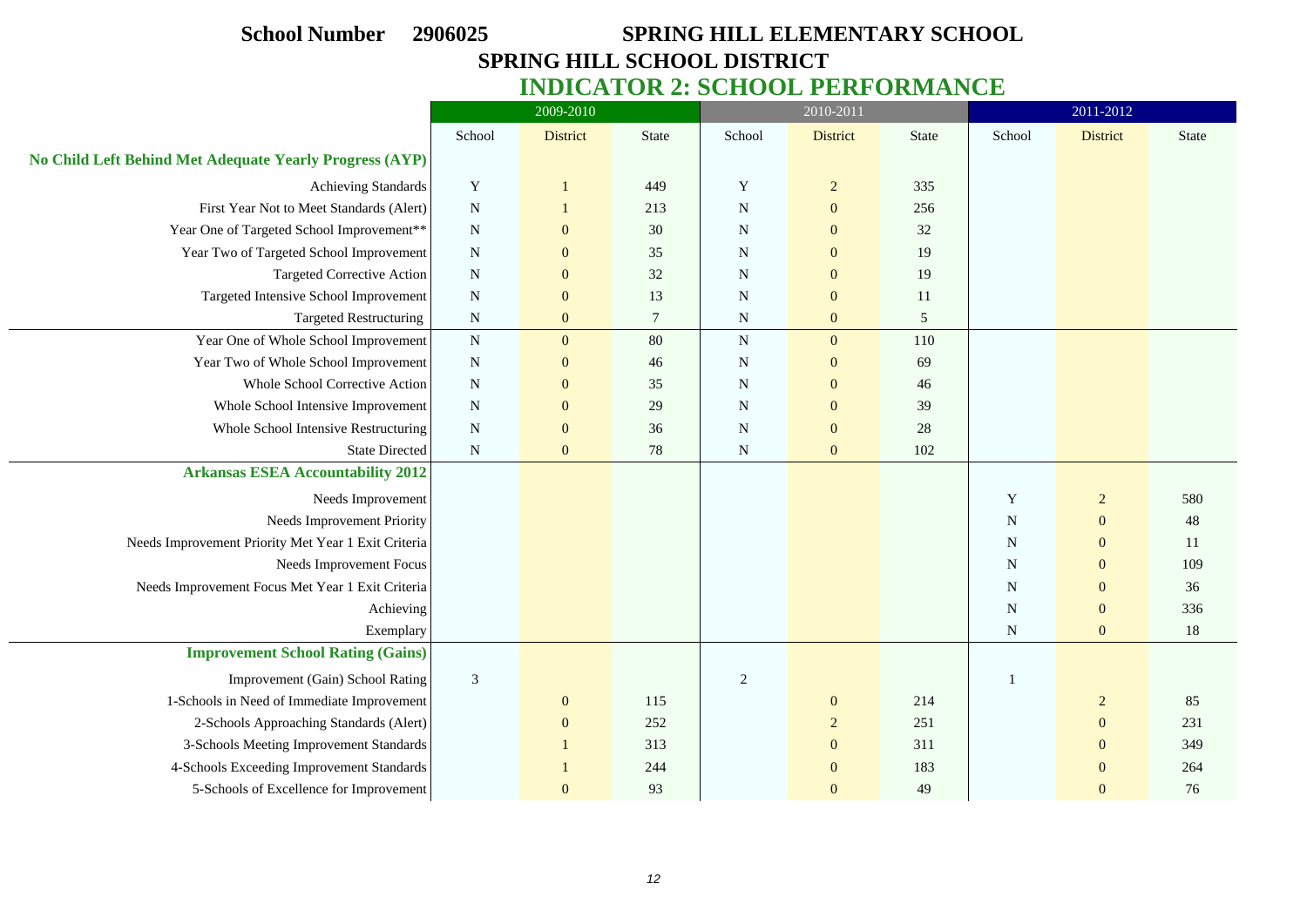# **School Number 2906025 SPRING HILL ELEMENTARY SCHOOL SPRING HILL SCHOOL DISTRICT**

| <b>INDICATOR 2: SCHOOL PERFORMANCE</b> |  |  |
|----------------------------------------|--|--|
|----------------------------------------|--|--|

|                                                         | 2009-2010      |                  |                |                | 2010-2011        |              | 2011-2012   |                 |              |
|---------------------------------------------------------|----------------|------------------|----------------|----------------|------------------|--------------|-------------|-----------------|--------------|
|                                                         | School         | <b>District</b>  | <b>State</b>   | School         | District         | <b>State</b> | School      | <b>District</b> | <b>State</b> |
| No Child Left Behind Met Adequate Yearly Progress (AYP) |                |                  |                |                |                  |              |             |                 |              |
| <b>Achieving Standards</b>                              | $\mathbf Y$    | 1                | 449            | $\mathbf Y$    | $\overline{2}$   | 335          |             |                 |              |
| First Year Not to Meet Standards (Alert)                | ${\bf N}$      |                  | 213            | ${\bf N}$      | $\boldsymbol{0}$ | 256          |             |                 |              |
| Year One of Targeted School Improvement**               | $\mathbf N$    | $\mathbf{0}$     | 30             | N              | $\mathbf{0}$     | 32           |             |                 |              |
| Year Two of Targeted School Improvement                 | $\mathbf N$    | $\mathbf{0}$     | 35             | $\mathbf N$    | $\overline{0}$   | 19           |             |                 |              |
| <b>Targeted Corrective Action</b>                       | ${\bf N}$      | $\boldsymbol{0}$ | 32             | $\mathbf N$    | $\mathbf{0}$     | 19           |             |                 |              |
| Targeted Intensive School Improvement                   | ${\bf N}$      | $\mathbf{0}$     | 13             | N              | $\mathbf{0}$     | 11           |             |                 |              |
| <b>Targeted Restructuring</b>                           | ${\bf N}$      | $\mathbf{0}$     | $\overline{7}$ | ${\bf N}$      | $\mathbf{0}$     | 5            |             |                 |              |
| Year One of Whole School Improvement                    | ${\bf N}$      | $\mathbf{0}$     | 80             | ${\bf N}$      | $\overline{0}$   | 110          |             |                 |              |
| Year Two of Whole School Improvement                    | ${\bf N}$      | $\mathbf{0}$     | 46             | ${\bf N}$      | $\mathbf{0}$     | 69           |             |                 |              |
| Whole School Corrective Action                          | ${\bf N}$      | $\mathbf{0}$     | 35             | $\mathbf N$    | $\mathbf{0}$     | 46           |             |                 |              |
| Whole School Intensive Improvement                      | $\mathbf N$    | $\mathbf{0}$     | 29             | $\mathbf N$    | $\mathbf{0}$     | 39           |             |                 |              |
| Whole School Intensive Restructuring                    | ${\bf N}$      | $\mathbf{0}$     | 36             | N              | $\mathbf{0}$     | 28           |             |                 |              |
| <b>State Directed</b>                                   | ${\bf N}$      | $\mathbf{0}$     | 78             | ${\bf N}$      | $\mathbf{0}$     | 102          |             |                 |              |
| <b>Arkansas ESEA Accountability 2012</b>                |                |                  |                |                |                  |              |             |                 |              |
| Needs Improvement                                       |                |                  |                |                |                  |              | Y           | $\sqrt{2}$      | 580          |
| Needs Improvement Priority                              |                |                  |                |                |                  |              | N           | $\overline{0}$  | 48           |
| Needs Improvement Priority Met Year 1 Exit Criteria     |                |                  |                |                |                  |              | $\mathbf N$ | $\mathbf{0}$    | 11           |
| Needs Improvement Focus                                 |                |                  |                |                |                  |              | $\mathbf N$ | $\mathbf{0}$    | 109          |
| Needs Improvement Focus Met Year 1 Exit Criteria        |                |                  |                |                |                  |              | N           | $\mathbf{0}$    | 36           |
| Achieving                                               |                |                  |                |                |                  |              | N           | $\mathbf{0}$    | 336          |
| Exemplary                                               |                |                  |                |                |                  |              | ${\bf N}$   | $\mathbf{0}$    | $18\,$       |
| <b>Improvement School Rating (Gains)</b>                |                |                  |                |                |                  |              |             |                 |              |
| Improvement (Gain) School Rating                        | $\mathfrak{Z}$ |                  |                | $\overline{2}$ |                  |              |             |                 |              |
| 1-Schools in Need of Immediate Improvement              |                | $\mathbf{0}$     | 115            |                | $\mathbf{0}$     | 214          |             | $\overline{c}$  | 85           |
| 2-Schools Approaching Standards (Alert)                 |                | $\mathbf{0}$     | 252            |                | 2                | 251          |             | $\theta$        | 231          |
| 3-Schools Meeting Improvement Standards                 |                |                  | 313            |                | $\mathbf{0}$     | 311          |             | $\overline{0}$  | 349          |
| 4-Schools Exceeding Improvement Standards               |                |                  | 244            |                | $\mathbf{0}$     | 183          |             | $\theta$        | 264          |
| 5-Schools of Excellence for Improvement                 |                | $\mathbf{0}$     | 93             |                | $\Omega$         | 49           |             | $\theta$        | 76           |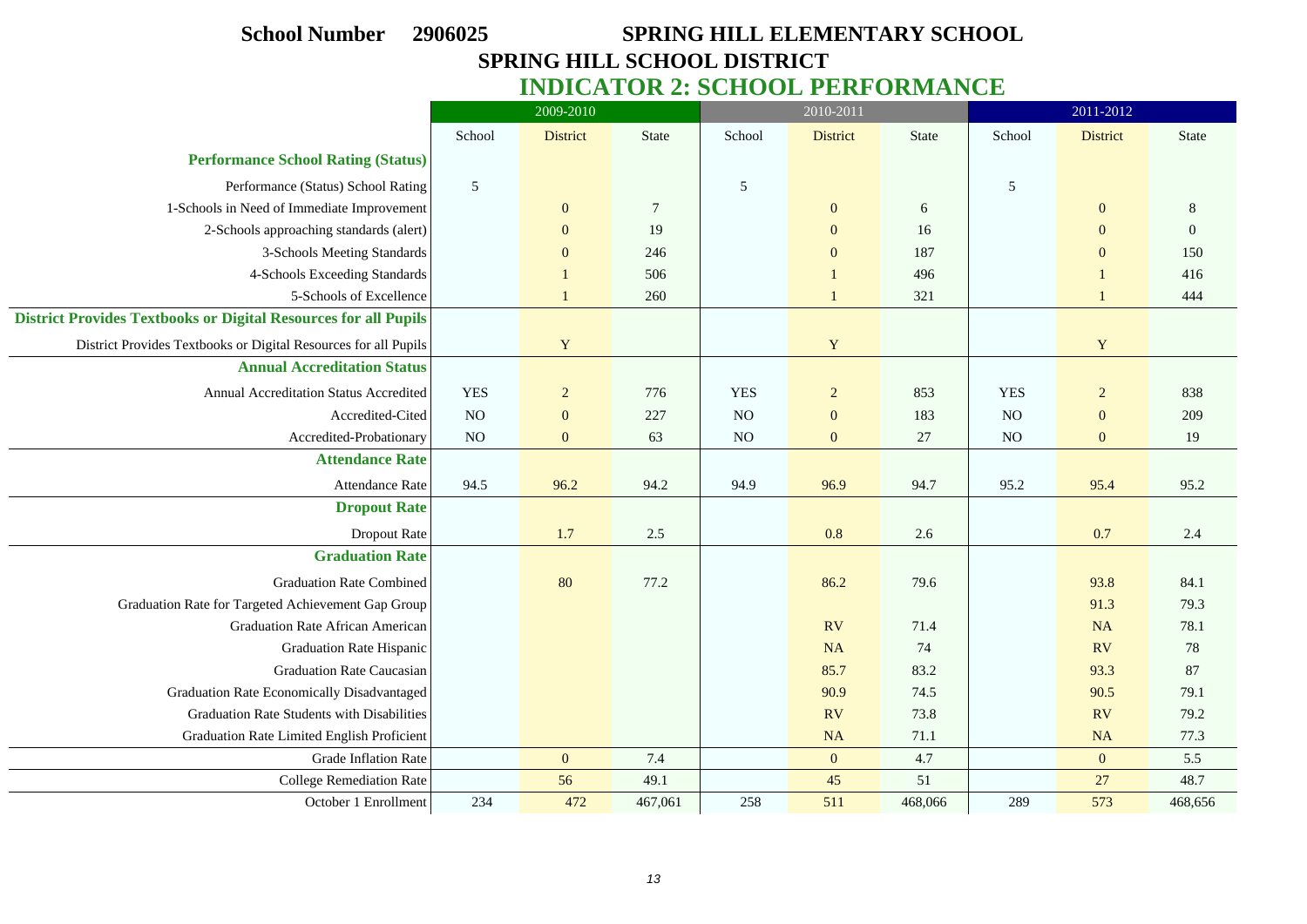# **School Number 2906025 SPRING HILL ELEMENTARY SCHOOL SPRING HILL SCHOOL DISTRICT INDICATOR 2: SCHOOL PERFORMANCE**

|                                                                        | 2009-2010      |                |              |            | 2010-2011                |         | 2011-2012      |                                    |                |  |
|------------------------------------------------------------------------|----------------|----------------|--------------|------------|--------------------------|---------|----------------|------------------------------------|----------------|--|
|                                                                        | School         | District       | <b>State</b> | School     | <b>District</b><br>State |         |                | School<br>District<br><b>State</b> |                |  |
| <b>Performance School Rating (Status)</b>                              |                |                |              |            |                          |         |                |                                    |                |  |
| Performance (Status) School Rating                                     | $\overline{5}$ |                |              | 5          |                          |         | $\sqrt{5}$     |                                    |                |  |
| 1-Schools in Need of Immediate Improvement                             |                | $\mathbf{0}$   | $\tau$       |            | $\boldsymbol{0}$         | 6       |                | $\mathbf{0}$                       | 8              |  |
| 2-Schools approaching standards (alert)                                |                | $\Omega$       | 19           |            | $\overline{0}$           | 16      |                | $\Omega$                           | $\overline{0}$ |  |
| 3-Schools Meeting Standards                                            |                | $\mathbf{0}$   | 246          |            | $\mathbf{0}$             | 187     |                | $\mathbf{0}$                       | 150            |  |
| 4-Schools Exceeding Standards                                          |                | 1              | 506          |            | $\mathbf{1}$             | 496     |                |                                    | 416            |  |
| 5-Schools of Excellence                                                |                | 1              | 260          |            | $\mathbf{1}$             | 321     |                | $\overline{1}$                     | 444            |  |
| <b>District Provides Textbooks or Digital Resources for all Pupils</b> |                |                |              |            |                          |         |                |                                    |                |  |
| District Provides Textbooks or Digital Resources for all Pupils        |                | $\mathbf Y$    |              |            | $\mathbf Y$              |         |                | $\mathbf Y$                        |                |  |
| <b>Annual Accreditation Status</b>                                     |                |                |              |            |                          |         |                |                                    |                |  |
| Annual Accreditation Status Accredited                                 | <b>YES</b>     | $\overline{2}$ | 776          | <b>YES</b> | $\overline{2}$           | 853     | <b>YES</b>     | $\overline{2}$                     | 838            |  |
| Accredited-Cited                                                       | NO             | $\mathbf{0}$   | 227          | NO         | $\mathbf{0}$             | 183     | N <sub>O</sub> | $\mathbf{0}$                       | 209            |  |
| Accredited-Probationary                                                | NO             | $\overline{0}$ | 63           | NO         | $\mathbf{0}$             | 27      | NO             | $\overline{0}$                     | 19             |  |
| <b>Attendance Rate</b>                                                 |                |                |              |            |                          |         |                |                                    |                |  |
| <b>Attendance Rate</b>                                                 | 94.5           | 96.2           | 94.2         | 94.9       | 96.9                     | 94.7    | 95.2           | 95.4                               | 95.2           |  |
| <b>Dropout Rate</b>                                                    |                |                |              |            |                          |         |                |                                    |                |  |
| Dropout Rate                                                           |                | 1.7            | $2.5\,$      |            | 0.8                      | 2.6     |                | 0.7                                | 2.4            |  |
| <b>Graduation Rate</b>                                                 |                |                |              |            |                          |         |                |                                    |                |  |
| <b>Graduation Rate Combined</b>                                        |                | 80             | 77.2         |            | 86.2                     | 79.6    |                | 93.8                               | 84.1           |  |
| Graduation Rate for Targeted Achievement Gap Group                     |                |                |              |            |                          |         |                | 91.3                               | 79.3           |  |
| <b>Graduation Rate African American</b>                                |                |                |              |            | RV                       | 71.4    |                | NA                                 | 78.1           |  |
| <b>Graduation Rate Hispanic</b>                                        |                |                |              |            | <b>NA</b>                | 74      |                | RV                                 | 78             |  |
| <b>Graduation Rate Caucasian</b>                                       |                |                |              |            | 85.7                     | 83.2    |                | 93.3                               | 87             |  |
| Graduation Rate Economically Disadvantaged                             |                |                |              |            | 90.9                     | 74.5    |                | 90.5                               | 79.1           |  |
| Graduation Rate Students with Disabilities                             |                |                |              |            | <b>RV</b>                | 73.8    |                | <b>RV</b>                          | 79.2           |  |
| Graduation Rate Limited English Proficient                             |                |                |              |            | <b>NA</b>                | 71.1    |                | NA                                 | 77.3           |  |
| Grade Inflation Rate                                                   |                | $\mathbf{0}$   | 7.4          |            | $\mathbf{0}$             | 4.7     |                | $\mathbf{0}$                       | 5.5            |  |
| <b>College Remediation Rate</b>                                        |                | 56             | 49.1         |            | 45                       | 51      |                | 27                                 | 48.7           |  |
| October 1 Enrollment                                                   | 234            | 472            | 467,061      | 258        | 511                      | 468,066 | 289            | 573                                | 468,656        |  |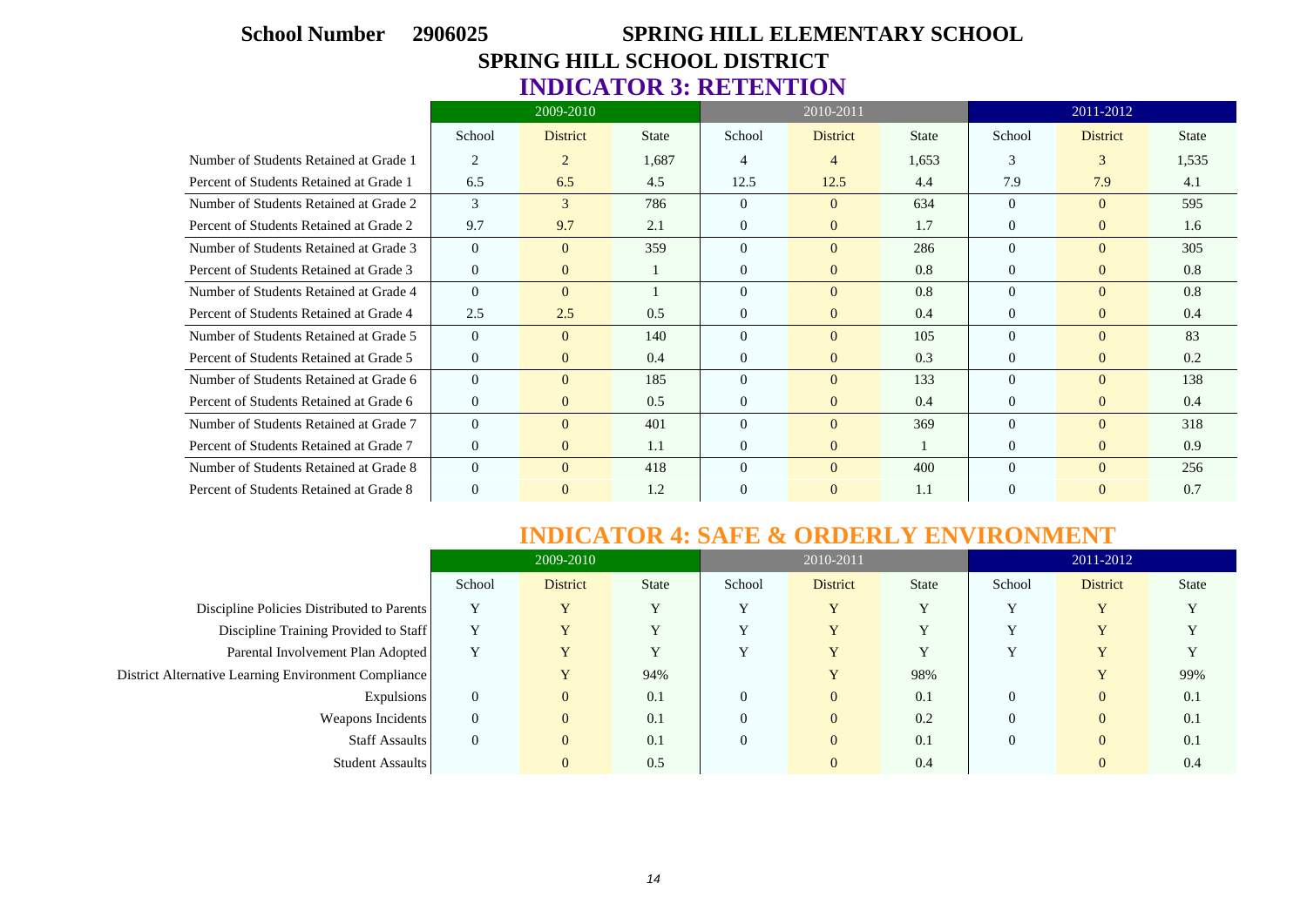# **School Number 2906025 SPRING HILL ELEMENTARY SCHOOL SPRING HILL SCHOOL DISTRICT INDICATOR 3: RETENTION**

|                                         | 2009-2010      |                 |              |                | 2010-2011       |              | 2011-2012      |                 |              |  |
|-----------------------------------------|----------------|-----------------|--------------|----------------|-----------------|--------------|----------------|-----------------|--------------|--|
|                                         | School         | <b>District</b> | <b>State</b> | School         | <b>District</b> | <b>State</b> | School         | <b>District</b> | <b>State</b> |  |
| Number of Students Retained at Grade 1  | 2              | $\overline{2}$  | 1,687        | 4              | 4               | 1,653        | 3              | 3               | 1,535        |  |
| Percent of Students Retained at Grade 1 | 6.5            | 6.5             | 4.5          | 12.5           | 12.5            | 4.4          | 7.9            | 7.9             | 4.1          |  |
| Number of Students Retained at Grade 2  | 3              | 3               | 786          | $\Omega$       | $\Omega$        | 634          | $\Omega$       | $\theta$        | 595          |  |
| Percent of Students Retained at Grade 2 | 9.7            | 9.7             | 2.1          | $\Omega$       | $\overline{0}$  | 1.7          | $\Omega$       | $\overline{0}$  | 1.6          |  |
| Number of Students Retained at Grade 3  | $\theta$       | $\theta$        | 359          | $\Omega$       | $\Omega$        | 286          | $\Omega$       | $\Omega$        | 305          |  |
| Percent of Students Retained at Grade 3 | $\overline{0}$ | $\mathbf{0}$    |              | $\theta$       | $\overline{0}$  | 0.8          | $\overline{0}$ | $\overline{0}$  | 0.8          |  |
| Number of Students Retained at Grade 4  | $\Omega$       | $\Omega$        |              | $\Omega$       | $\mathbf{0}$    | 0.8          | $\Omega$       | $\Omega$        | 0.8          |  |
| Percent of Students Retained at Grade 4 | 2.5            | 2.5             | 0.5          | $\Omega$       | $\mathbf{0}$    | 0.4          | $\Omega$       | $\overline{0}$  | 0.4          |  |
| Number of Students Retained at Grade 5  | $\theta$       | $\theta$        | 140          | $\Omega$       | $\mathbf{0}$    | 105          | $\Omega$       | $\Omega$        | 83           |  |
| Percent of Students Retained at Grade 5 | $\overline{0}$ | $\mathbf{0}$    | 0.4          | $\Omega$       | $\mathbf{0}$    | 0.3          | $\Omega$       | $\overline{0}$  | 0.2          |  |
| Number of Students Retained at Grade 6  | $\theta$       | $\theta$        | 185          | $\Omega$       | $\mathbf{0}$    | 133          | $\Omega$       | $\Omega$        | 138          |  |
| Percent of Students Retained at Grade 6 | $\overline{0}$ | $\mathbf{0}$    | 0.5          | $\Omega$       | $\mathbf{0}$    | 0.4          | $\Omega$       | $\overline{0}$  | 0.4          |  |
| Number of Students Retained at Grade 7  | $\theta$       | $\Omega$        | 401          | $\Omega$       | $\mathbf{0}$    | 369          | $\Omega$       | $\Omega$        | 318          |  |
| Percent of Students Retained at Grade 7 | $\overline{0}$ | $\overline{0}$  | 1.1          | $\overline{0}$ | $\mathbf{0}$    |              | $\overline{0}$ | $\overline{0}$  | 0.9          |  |
| Number of Students Retained at Grade 8  | $\theta$       | $\Omega$        | 418          | $\Omega$       | $\Omega$        | 400          | $\Omega$       | $\Omega$        | 256          |  |
| Percent of Students Retained at Grade 8 | $\overline{0}$ | $\mathbf{0}$    | 1.2          | $\Omega$       | $\overline{0}$  | 1.1          | $\Omega$       | $\overline{0}$  | 0.7          |  |

### **INDICATOR 4: SAFE & ORDERLY ENVIRONMENT**

|                                                      | 2009-2010      |                         |              |              | 2010-2011       |              | 2011-2012    |                         |              |  |
|------------------------------------------------------|----------------|-------------------------|--------------|--------------|-----------------|--------------|--------------|-------------------------|--------------|--|
|                                                      | School         | <b>District</b>         | <b>State</b> | School       | <b>District</b> | <b>State</b> | School       | <b>District</b>         | <b>State</b> |  |
| Discipline Policies Distributed to Parents           | Y              | $\overline{\mathbf{V}}$ | $\mathbf v$  |              | Y               | v            | $\mathbf{v}$ | v                       | $\mathbf v$  |  |
| Discipline Training Provided to Staff                | $\mathbf v$    | $\overline{\mathbf{V}}$ | v            |              | Y               | v            | $\mathbf{v}$ | $\overline{\mathbf{v}}$ |              |  |
| Parental Involvement Plan Adopted                    | Y              | Y                       | Y            | $\mathbf{v}$ | Y               | Y            | $\mathbf{v}$ | Y                       |              |  |
| District Alternative Learning Environment Compliance |                | Y                       | 94%          |              |                 | 98%          |              | Y                       | 99%          |  |
| Expulsions                                           | $\overline{0}$ | $\overline{0}$          | 0.1          | $\Omega$     | $\overline{0}$  | 0.1          | $\theta$     | $\overline{0}$          | 0.1          |  |
| Weapons Incidents                                    | $\overline{0}$ | $\overline{0}$          | 0.1          | $\Omega$     | $\overline{0}$  | 0.2          | $\Omega$     | $\overline{0}$          | 0.1          |  |
| <b>Staff Assaults</b>                                | $\overline{0}$ | $\overline{0}$          | 0.1          | $\Omega$     | $\overline{0}$  | 0.1          | $\Omega$     | $\overline{0}$          | 0.1          |  |
| Student Assaults                                     |                | $\overline{0}$          | 0.5          |              | $\theta$        | 0.4          |              | $\overline{0}$          | 0.4          |  |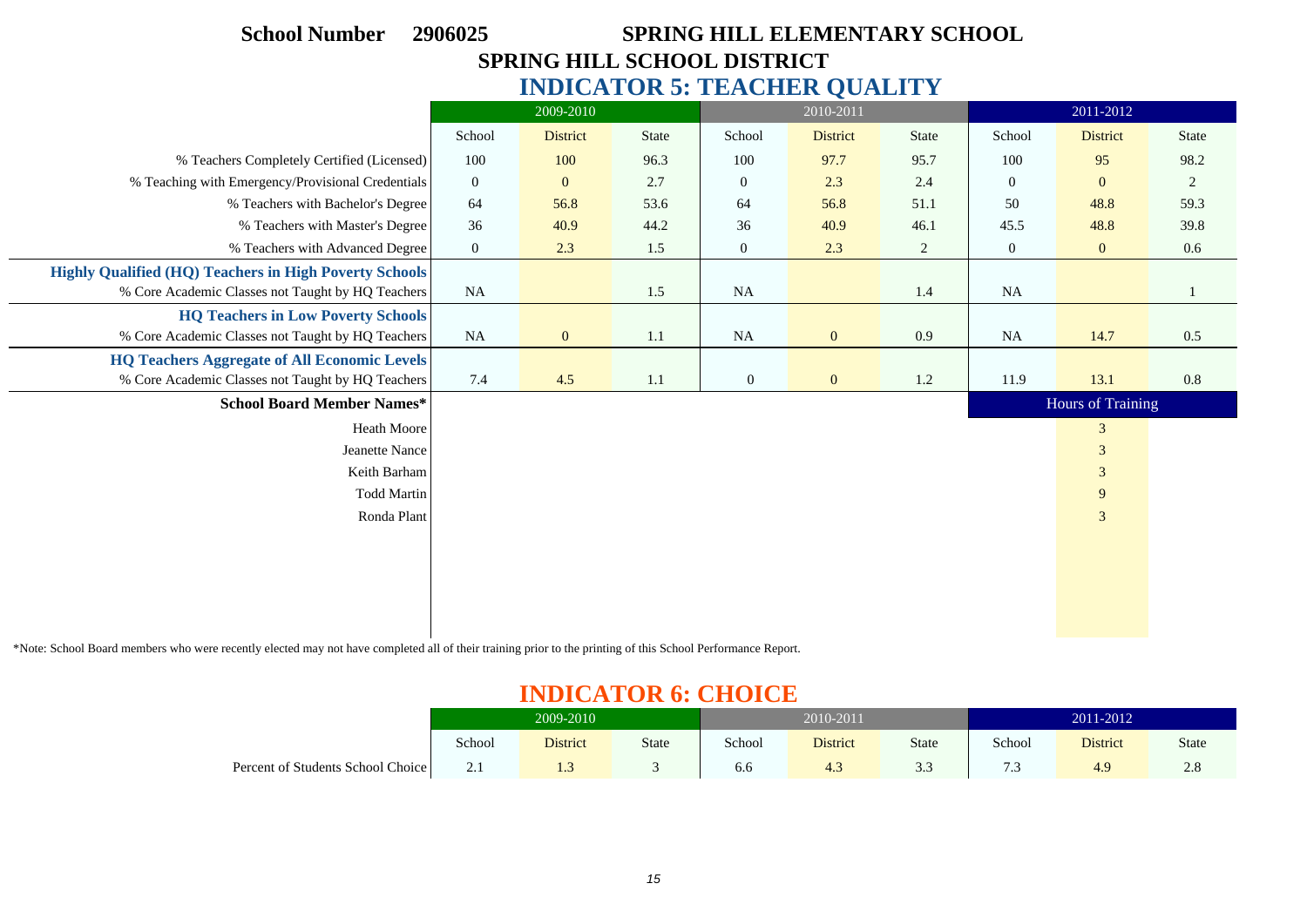| <b>School Number</b>                                          | SPRING HILL ELEMENTARY SCHOOL<br>2906025 |                  |              |                  |                 |         |                |                   |         |  |  |
|---------------------------------------------------------------|------------------------------------------|------------------|--------------|------------------|-----------------|---------|----------------|-------------------|---------|--|--|
| <b>SPRING HILL SCHOOL DISTRICT</b>                            |                                          |                  |              |                  |                 |         |                |                   |         |  |  |
| <b>INDICATOR 5: TEACHER QUALITY</b>                           |                                          |                  |              |                  |                 |         |                |                   |         |  |  |
|                                                               |                                          | 2009-2010        |              |                  | 2010-2011       |         | 2011-2012      |                   |         |  |  |
|                                                               | School                                   | <b>District</b>  | <b>State</b> | School           | <b>District</b> | State   | School         | District          | State   |  |  |
| % Teachers Completely Certified (Licensed)                    | 100                                      | 100              | 96.3         | 100              | 97.7            | 95.7    | 100            | 95                | 98.2    |  |  |
| % Teaching with Emergency/Provisional Credentials             | $\boldsymbol{0}$                         | $\mathbf{0}$     | 2.7          | $\mathbf{0}$     | 2.3             | 2.4     | $\overline{0}$ | $\mathbf{0}$      | 2       |  |  |
| % Teachers with Bachelor's Degree                             | 64                                       | 56.8             | 53.6         | 64               | 56.8            | 51.1    | 50             | 48.8              | 59.3    |  |  |
| % Teachers with Master's Degree                               | 36                                       | 40.9             | 44.2         | 36               | 40.9            | 46.1    | 45.5           | 48.8              | 39.8    |  |  |
| % Teachers with Advanced Degree                               | $\mathbf{0}$                             | 2.3              | 1.5          | $\overline{0}$   | 2.3             | 2       | $\overline{0}$ | $\mathbf{0}$      | $0.6\,$ |  |  |
| <b>Highly Qualified (HQ) Teachers in High Poverty Schools</b> |                                          |                  |              |                  |                 |         |                |                   |         |  |  |
| % Core Academic Classes not Taught by HQ Teachers             | <b>NA</b>                                |                  | 1.5          | NA               |                 | 1.4     | <b>NA</b>      |                   |         |  |  |
| <b>HQ Teachers in Low Poverty Schools</b>                     |                                          |                  |              |                  |                 |         |                |                   |         |  |  |
| % Core Academic Classes not Taught by HQ Teachers             | <b>NA</b>                                | $\boldsymbol{0}$ | 1.1          | <b>NA</b>        | $\mathbf{0}$    | 0.9     | <b>NA</b>      | 14.7              | 0.5     |  |  |
| <b>HQ Teachers Aggregate of All Economic Levels</b>           |                                          |                  |              |                  |                 |         |                |                   |         |  |  |
| % Core Academic Classes not Taught by HQ Teachers             | 7.4                                      | 4.5              | $1.1\,$      | $\boldsymbol{0}$ | $\mathbf{0}$    | $1.2\,$ | 11.9           | 13.1              | 0.8     |  |  |
| <b>School Board Member Names*</b>                             |                                          |                  |              |                  |                 |         |                | Hours of Training |         |  |  |
| <b>Heath Moore</b>                                            |                                          |                  |              |                  |                 |         |                | 3                 |         |  |  |
| Jeanette Nance                                                |                                          |                  |              |                  |                 |         |                | $\mathfrak{Z}$    |         |  |  |
| Keith Barham                                                  |                                          |                  |              |                  |                 |         |                | $\mathfrak{Z}$    |         |  |  |
| <b>Todd Martin</b>                                            |                                          |                  |              |                  |                 |         |                | 9                 |         |  |  |
| Ronda Plant                                                   |                                          |                  |              |                  |                 |         |                | $\mathfrak{Z}$    |         |  |  |
|                                                               |                                          |                  |              |                  |                 |         |                |                   |         |  |  |
|                                                               |                                          |                  |              |                  |                 |         |                |                   |         |  |  |
|                                                               |                                          |                  |              |                  |                 |         |                |                   |         |  |  |
|                                                               |                                          |                  |              |                  |                 |         |                |                   |         |  |  |
|                                                               |                                          |                  |              |                  |                 |         |                |                   |         |  |  |

\*Note: School Board members who were recently elected may not have completed all of their training prior to the printing of this School Performance Report.

 $\sim$ 

 $\overline{\phantom{0}}$ 

# **INDICATOR 6: CHOICE**

| _______________                   |            |                 |       |        |                 |                 |                |                 |             |  |  |  |  |
|-----------------------------------|------------|-----------------|-------|--------|-----------------|-----------------|----------------|-----------------|-------------|--|--|--|--|
|                                   | 2009-2010  |                 |       |        | 2010-2011       |                 | 2011-2012      |                 |             |  |  |  |  |
|                                   | School     | <b>District</b> | State | School | <b>District</b> | <b>State</b>    | School         | <b>District</b> | State       |  |  |  |  |
| Percent of Students School Choice | $\sim$ . 1 | 1.3             |       | 6.6    | $-4.5$          | $\Omega$<br>3.3 | $\sim$<br>د. ا | 4.9             | $\angle$ .0 |  |  |  |  |